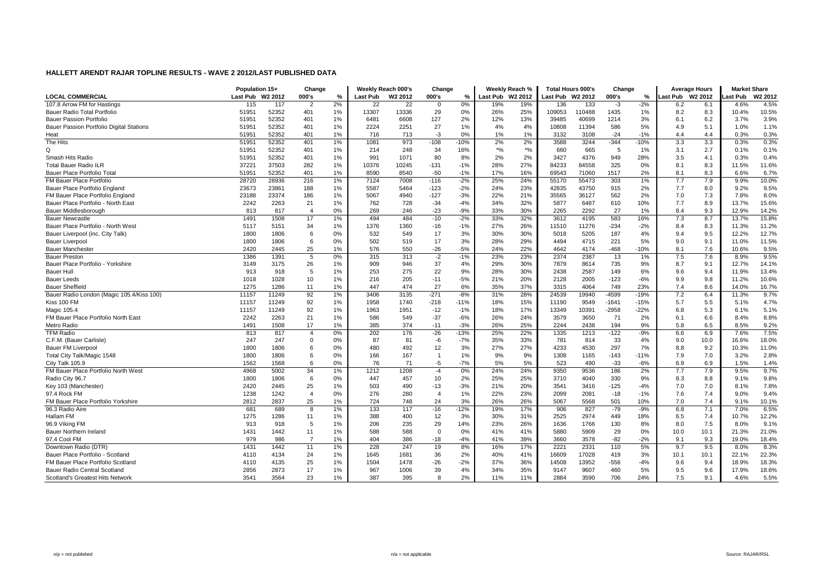|                                           | Population 15+   |       | Change         |       |          | Weekly Reach 000's  | Change         |        | Weekly Reach % |         | <b>Total Hours 000's</b> |        | Change  |        | <b>Average Hours</b> |                     | <b>Market Share</b> |         |
|-------------------------------------------|------------------|-------|----------------|-------|----------|---------------------|----------------|--------|----------------|---------|--------------------------|--------|---------|--------|----------------------|---------------------|---------------------|---------|
| <b>LOCAL COMMERCIAL</b>                   | Last Pub W2 2012 |       | 000's          | $\%$  | Last Pub | W <sub>2</sub> 2012 | 000's          | %      | Last Pub       | W2 2012 | Last Pub W2 2012         |        | 000's   | %      | Last Pub             | W <sub>2</sub> 2012 | ast Pub             | W2 2012 |
| 107.8 Arrow FM for Hastings               | 115              | 117   | $\overline{2}$ | 2%    | 22       | $\overline{22}$     | $\mathbf 0$    | 0%     | 19%            | 19%     | 136                      | 133    | $-3$    | $-2%$  | 6.2                  | 6.1                 | 4.6%                | 4.5%    |
| Bauer Radio Total Portfolio               | 51951            | 52352 | 401            | $1\%$ | 13307    | 13336               | 29             | 0%     | 26%            | 25%     | 109053                   | 110488 | 1435    | 1%     | 8.2                  | 8.3                 | 10.4%               | 10.5%   |
| <b>Bauer Passion Portfolio</b>            | 51951            | 52352 | 401            | $1\%$ | 6481     | 6608                | 127            | 2%     | 12%            | 13%     | 39485                    | 40699  | 1214    | 3%     | 6.1                  | 6.2                 | 3.7%                | 3.9%    |
| Bauer Passion Portfolio Digital Stations  | 51951            | 52352 | 401            | $1\%$ | 2224     | 2251                | 27             | 1%     | 4%             | 4%      | 10808                    | 11394  | 586     | 5%     | 4.9                  | 5.1                 | 1.0%                | 1.1%    |
| Heat                                      | 51951            | 52352 | 401            | 1%    | 716      | 713                 | $-3$           | 0%     | 1%             | 1%      | 3132                     | 3108   | $-24$   | $-1%$  | 4.4                  | 4.4                 | 0.3%                | 0.3%    |
| The Hits                                  | 51951            | 52352 | 401            | $1\%$ | 1081     | 973                 | $-108$         | $-10%$ | 2%             | 2%      | 3588                     | 3244   | $-344$  | $-10%$ | 3.3                  | 3.3                 | 0.3%                | 0.3%    |
| Q                                         | 51951            | 52352 | 401            | $1\%$ | 214      | 248                 | 34             | 16%    | $*$ %          | $*$ %   | 660                      | 665    | 5       | 1%     | 3.1                  | 2.7                 | 0.1%                | 0.1%    |
| Smash Hits Radio                          | 51951            | 52352 | 401            | $1\%$ | 991      | 1071                | 80             | 8%     | 2%             | 2%      | 3427                     | 4376   | 949     | 28%    | 3.5                  | 4.1                 | 0.3%                | 0.4%    |
| <b>Total Bauer Radio ILR</b>              | 37221            | 37503 | 282            | 1%    | 10376    | 10245               | $-131$         | $-1%$  | 28%            | 27%     | 84233                    | 84558  | 325     | 0%     | 8.1                  | 8.3                 | 11.5%               | 11.6%   |
| Bauer Place Portfolio Total               | 51951            | 52352 | 401            | 1%    | 8590     | 8540                | $-50$          | $-1%$  | 17%            | 16%     | 69543                    | 71060  | 1517    | 2%     | 8.1                  | 8.3                 | 6.6%                | 6.7%    |
| <b>FM Bauer Place Portfolio</b>           | 28720            | 28936 | 216            | 1%    | 7124     | 7008                | $-116$         | $-2%$  | 25%            | 24%     | 55170                    | 55473  | 303     | 1%     | 7.7                  | 7.9                 | 9.9%                | 10.0%   |
| Bauer Place Portfolio England             | 23673            | 23861 | 188            | $1\%$ | 5587     | 5464                | $-123$         | $-2%$  | 24%            | 23%     | 42835                    | 43750  | 915     | 2%     | 7.7                  | 8.0                 | 9.2%                | 9.5%    |
| FM Bauer Place Portfolio England          | 23188            | 23374 | 186            | $1\%$ | 5067     | 4940                | $-127$         | $-3%$  | 22%            | 21%     | 35565                    | 36127  | 562     | 2%     | 7.0                  | 7.3                 | 7.8%                | 8.0%    |
| Bauer Place Portfolio - North East        | 2242             | 2263  | 21             | $1\%$ | 762      | 728                 | $-34$          | $-4%$  | 34%            | 32%     | 5877                     | 6487   | 610     | 10%    | 7.7                  | 8.9                 | 13.7%               | 15.6%   |
| Bauer Middlesborough                      | 813              | 817   | $\overline{4}$ | 0%    | 269      | 246                 | $-23$          | $-9%$  | 33%            | 30%     | 2265                     | 2292   | 27      | 1%     | 8.4                  | 9.3                 | 12.9%               | 14.2%   |
| <b>Bauer Newcastle</b>                    | 1491             | 1508  | 17             | 1%    | 494      | 484                 | $-10$          | $-2%$  | 33%            | 32%     | 3612                     | 4195   | 583     | 16%    | 7.3                  | 8.7                 | 13.7%               | 15.8%   |
| Bauer Place Portfolio - North West        | 5117             | 5151  | 34             | 1%    | 1376     | 1360                | $-16$          | $-1%$  | 27%            | 26%     | 11510                    | 11276  | $-234$  | $-2%$  | 8.4                  | 8.3                 | 11.3%               | 11.2%   |
| Bauer Liverpool (inc. City Talk)          | 1800             | 1806  | 6              | 0%    | 532      | 549                 | 17             | 3%     | 30%            | 30%     | 5018                     | 5205   | 187     | 4%     | 9.4                  | 9.5                 | 12.2%               | 12.7%   |
| <b>Bauer Liverpool</b>                    | 1800             | 1806  | 6              | 0%    | 502      | 519                 | 17             | 3%     | 28%            | 29%     | 4494                     | 4715   | 221     | 5%     | 9.0                  | 9.1                 | 11.0%               | 11.5%   |
| <b>Bauer Manchester</b>                   | 2420             | 2445  | 25             | 1%    | 576      | 550                 | $-26$          | $-5%$  | 24%            | 22%     | 4642                     | 4174   | $-468$  | $-10%$ | 8.1                  | 7.6                 | 10.6%               | 9.5%    |
| <b>Bauer Preston</b>                      | 1386             | 1391  | 5              | 0%    | 315      | 313                 | $-2$           | $-1%$  | 23%            | 23%     | 2374                     | 2387   | 13      | 1%     | 7.5                  | 7.6                 | 8.9%                | 9.5%    |
| Bauer Place Portfolio - Yorkshire         | 3149             | 3175  | 26             | $1\%$ | 909      | 946                 | 37             | 4%     | 29%            | 30%     | 7879                     | 8614   | 735     | 9%     | 8.7                  | 9.1                 | 12.7%               | 14.1%   |
| <b>Bauer Hull</b>                         | 913              | 918   | 5              | 1%    | 253      | 275                 | 22             | 9%     | 28%            | 30%     | 2438                     | 2587   | 149     | 6%     | 9.6                  | 9.4                 | 11.9%               | 13.4%   |
| <b>Bauer Leeds</b>                        | 1018             | 1028  | 10             | 1%    | 216      | 205                 | $-11$          | $-5%$  | 21%            | 20%     | 2128                     | 2005   | $-123$  | $-6%$  | 9.9                  | 9.8                 | 11.2%               | 10.6%   |
| <b>Bauer Sheffield</b>                    | 1275             | 1286  | 11             | $1\%$ | 447      | 474                 | 27             | 6%     | 35%            | 37%     | 3315                     | 4064   | 749     | 23%    | 7.4                  | 8.6                 | 14.0%               | 16.7%   |
| Bauer Radio London (Magic 105.4/Kiss 100) | 11157            | 11249 | 92             | 1%    | 3406     | 3135                | $-271$         | $-8%$  | 31%            | 28%     | 24539                    | 19940  | $-4599$ | $-19%$ | 7.2                  | 6.4                 | 11.3%               | 9.7%    |
| Kiss 100 FM                               | 11157            | 11249 | 92             | $1\%$ | 1958     | 1740                | $-218$         | $-11%$ | 18%            | 15%     | 11190                    | 9549   | $-1641$ | $-15%$ | 5.7                  | 5.5                 | 5.1%                | 4.7%    |
| Magic 105.4                               | 11157            | 11249 | 92             | $1\%$ | 1963     | 1951                | $-12$          | $-1%$  | 18%            | 17%     | 13349                    | 10391  | $-2958$ | $-22%$ | 6.8                  | 5.3                 | 6.1%                | 5.1%    |
| FM Bauer Place Portfolio North East       | 2242             | 2263  | 21             | 1%    | 586      | 549                 | $-37$          | $-6%$  | 26%            | 24%     | 3579                     | 3650   | 71      | 2%     | 6.1                  | 6.6                 | 8.4%                | 8.8%    |
| Metro Radio                               | 1491             | 1508  | 17             | 1%    | 385      | 374                 | $-11$          | $-3%$  | 26%            | 25%     | 2244                     | 2438   | 194     | 9%     | 5.8                  | 6.5                 | 8.5%                | 9.2%    |
| <b>TFM Radio</b>                          | 813              | 817   | $\overline{4}$ | 0%    | 202      | 176                 | $-26$          | $-13%$ | 25%            | 22%     | 1335                     | 1213   | $-122$  | $-9%$  | 6.6                  | 6.9                 | 7.6%                | 7.5%    |
| C.F.M. (Bauer Carlisle)                   | 247              | 247   | $\mathbf 0$    | 0%    | 87       | 81                  | -6             | $-7%$  | 35%            | 33%     | 781                      | 814    | 33      | 4%     | 9.0                  | 10.0                | 16.6%               | 18.0%   |
| <b>Bauer FM Liverpool</b>                 | 1800             | 1806  | 6              | 0%    | 480      | 492                 | 12             | 3%     | 27%            | 27%     | 4233                     | 4530   | 297     | 7%     | 8.8                  | 9.2                 | 10.3%               | 11.0%   |
| Total City Talk/Magic 1548                | 1800             | 1806  | 6              | 0%    | 166      | 167                 | $\overline{1}$ | 1%     | 9%             | 9%      | 1308                     | 1165   | $-143$  | $-11%$ | 7.9                  | 7.0                 | 3.2%                | 2.8%    |
| City Talk 105.9                           | 1562             | 1568  | 6              | 0%    | 76       | 71                  | $-5$           | $-7%$  | 5%             | 5%      | 523                      | 490    | $-33$   | $-6%$  | 6.9                  | 6.9                 | 1.5%                | 1.4%    |
| FM Bauer Place Portfolio North West       | 4968             | 5002  | 34             | 1%    | 1212     | 1208                | $-4$           | 0%     | 24%            | 24%     | 9350                     | 9536   | 186     | 2%     | 7.7                  | 7.9                 | 9.5%                | 9.7%    |
| Radio City 96.7                           | 1800             | 1806  | 6              | 0%    | 447      | 457                 | 10             | 2%     | 25%            | 25%     | 3710                     | 4040   | 330     | 9%     | 8.3                  | 8.8                 | 9.1%                | 9.8%    |
| Key 103 (Manchester)                      | 2420             | 2445  | 25             | $1\%$ | 503      | 490                 | $-13$          | $-3%$  | 21%            | 20%     | 3541                     | 3416   | $-125$  | $-4%$  | 7.0                  | 7.0                 | 8.1%                | 7.8%    |
| 97.4 Rock FM                              | 1238             | 1242  | $\overline{4}$ | 0%    | 276      | 280                 | $\overline{4}$ | 1%     | 22%            | 23%     | 2099                     | 2081   | $-18$   | $-1%$  | 7.6                  | 7.4                 | 9,0%                | 9.4%    |
| FM Bauer Place Portfolio Yorkshire        | 2812             | 2837  | 25             | 1%    | 724      | 748                 | 24             | 3%     | 26%            | 26%     | 5067                     | 5568   | 501     | 10%    | 7.0                  | 7.4                 | 9.1%                | 10.1%   |
| 96.3 Radio Aire                           | 681              | 689   | 8              | $1\%$ | 133      | 117                 | $-16$          | $-12%$ | 19%            | 17%     | 906                      | 827    | $-79$   | $-9%$  | 6.8                  | 7.1                 | 7.0%                | 6.5%    |
| Hallam FM                                 | 1275             | 1286  | 11             | $1\%$ | 388      | 400                 | 12             | 3%     | 30%            | 31%     | 2525                     | 2974   | 449     | 18%    | 6.5                  | 7.4                 | 10.7%               | 12.2%   |
| 96.9 Viking FM                            | 913              | 918   | 5              | $1\%$ | 206      | 235                 | 29             | 14%    | 23%            | 26%     | 1636                     | 1766   | 130     | 8%     | 8.0                  | 7.5                 | 8.0%                | 9.1%    |
| Bauer Northern Ireland                    | 1431             | 1442  | 11             | $1\%$ | 588      | 588                 | $\Omega$       | 0%     | 41%            | 41%     | 5880                     | 5909   | 29      | 0%     | 10.0                 | 10.1                | 21.3%               | 21.0%   |
| 97.4 Cool FM                              | 979              | 986   | $\overline{7}$ | 1%    | 404      | 386                 | $-18$          | $-4%$  | 41%            | 39%     | 3660                     | 3578   | $-82$   | $-2%$  | 9.1                  | 9.3                 | 19.0%               | 18.4%   |
| Downtown Radio (DTR)                      | 1431             | 1442  | 11             | 1%    | 228      | 247                 | 19             | 8%     | 16%            | 17%     | 2221                     | 2331   | 110     | 5%     | 9.7                  | 9.5                 | 8.0%                | 8.3%    |
| Bauer Place Portfolio - Scotland          | 4110             | 4134  | 24             | $1\%$ | 1645     | 1681                | 36             | 2%     | 40%            | 41%     | 16609                    | 17028  | 419     | 3%     | 10.1                 | 10.1                | 22.1%               | 22.3%   |
| FM Bauer Place Portfolio Scotland         | 4110             | 4135  | 25             | 1%    | 1504     | 1478                | $-26$          | $-2%$  | 37%            | 36%     | 14508                    | 13952  | $-556$  | $-4%$  | 9.6                  | 9.4                 | 18.9%               | 18.3%   |
| Bauer Radio Central Scotland              | 2856             | 2873  | 17             | 1%    | 967      | 1006                | 39             | 4%     | 34%            | 35%     | 9147                     | 9607   | 460     | 5%     | 9.5                  | 9.6                 | 17.9%               | 18.6%   |
| Scotland's Greatest Hits Network          | 3541             | 3564  | 23             | 1%    | 387      | 395                 | $\mathbf{R}$   | 2%     | 11%            | 11%     | 2884                     | 3590   | 706     | 24%    | 7.5                  | 9.1                 | 4.6%                | 5.5%    |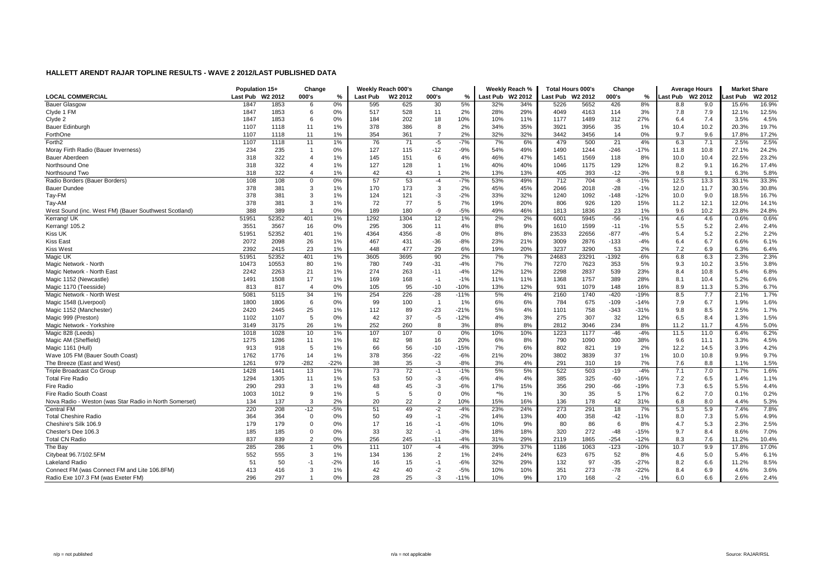|                                                        | Population 15+ |         | Change                |        |          | Weekly Reach 000's | Change         |        |                    | Weekly Reach %      | <b>Total Hours 000's</b> |       | Change  |        |                 | <b>Average Hours</b> | <b>Market Share</b> |         |
|--------------------------------------------------------|----------------|---------|-----------------------|--------|----------|--------------------|----------------|--------|--------------------|---------------------|--------------------------|-------|---------|--------|-----------------|----------------------|---------------------|---------|
| <b>LOCAL COMMERCIAL</b>                                | Last Pub       | W2 2012 | 000's                 | %      | Last Pub | W2 2012            | 000's          | %      | Last Pub           | W <sub>2</sub> 2012 | Last Pub W2 2012         |       | 000's   | %      | ast Pub W2 2012 |                      | ast Pub             | W2 2012 |
| <b>Bauer Glasgow</b>                                   | 1847           | 1853    | 6                     | 0%     | 595      | 625                | 30             | 5%     | 32%                | 34%                 | 5226                     | 5652  | 426     | 8%     | 8.8             | 9.0                  | 15.6%               | 16.9%   |
| Clyde 1 FM                                             | 1847           | 1853    | 6                     | 0%     | 517      | 528                | 11             | 2%     | 28%                | 29%                 | 4049                     | 4163  | 114     | 3%     | 7.8             | 7.9                  | 12.1%               | 12.5%   |
| Clyde 2                                                | 1847           | 1853    | 6                     | 0%     | 184      | 202                | 18             | 10%    | 10%                | 11%                 | 1177                     | 1489  | 312     | 27%    | 6.4             | 7.4                  | 3.5%                | 4.5%    |
| Bauer Edinburgh                                        | 1107           | 1118    | 11                    | $1\%$  | 378      | 386                | 8              | 2%     | 34%                | 35%                 | 3921                     | 3956  | 35      | 1%     | 10.4            | 10.2                 | 20.3%               | 19.7%   |
| ForthOne                                               | 1107           | 1118    | 11                    | 1%     | 354      | 361                | $\overline{7}$ | 2%     | 32%                | 32%                 | 3442                     | 3456  | 14      | 0%     | 9.7             | 9.6                  | 17.8%               | 17.2%   |
| Forth <sub>2</sub>                                     | 1107           | 1118    | 11                    | 1%     | 76       | 71                 | $-5$           | $-7%$  | 7%                 | 6%                  | 479                      | 500   | 21      | 4%     | 6.3             | 7.1                  | 2.5%                | 2.5%    |
| Moray Firth Radio (Bauer Inverness)                    | 234            | 235     | -1                    | $0\%$  | 127      | 115                | $-12$          | $-9%$  | 54%                | 49%                 | 1490                     | 1244  | $-246$  | $-17%$ | 11.8            | 10.8                 | 27.1%               | 24.2%   |
| Bauer Aberdeen                                         | 318            | 322     | $\overline{4}$        | 1%     | 145      | 151                | 6              | 4%     | 46%                | 47%                 | 1451                     | 1569  | 118     | 8%     | 10.0            | 10.4                 | 22.5%               | 23.2%   |
| Northsound One                                         | 318            | 322     | $\boldsymbol{\Delta}$ | 1%     | 127      | 128                | $\overline{1}$ | 1%     | 40%                | 40%                 | 1046                     | 1175  | 129     | 12%    | 8.2             | 9.1                  | 16.2%               | 17.4%   |
| Northsound Two                                         | 318            | 322     | $\overline{4}$        | 1%     | 42       | 43                 | $\overline{1}$ | 2%     | 13%                | 13%                 | 405                      | 393   | $-12$   | $-3%$  | 9.8             | 9.1                  | 6.3%                | 5.8%    |
| Radio Borders (Bauer Borders)                          | 108            | 108     | $\overline{0}$        | 0%     | 57       | 53                 | -4             | $-7%$  | 53%                | 49%                 | 712                      | 704   | -8      | $-1%$  | 12.5            | 13.3                 | 33.1%               | 33.3%   |
| <b>Bauer Dundee</b>                                    | 378            | 381     | 3                     | $1\%$  | 170      | 173                | $\mathbf{3}$   | 2%     | 45%                | 45%                 | 2046                     | 2018  | $-28$   | $-1%$  | 12.0            | 11.7                 | 30.5%               | 30.8%   |
| Tay-FM                                                 | 378            | 381     | 3                     | $1\%$  | 124      | 121                | $-3$           | $-2%$  | 33%                | 32%                 | 1240                     | 1092  | $-148$  | $-12%$ | 10.0            | 9.0                  | 18.5%               | 16.7%   |
| Tay-AM                                                 | 378            | 381     | 3                     | $1\%$  | 72       | 77                 | 5              | 7%     | 19%                | 20%                 | 806                      | 926   | 120     | 15%    | 11.2            | 12.1                 | 12.0%               | 14.1%   |
| West Sound (inc. West FM) (Bauer Southwest Scotland)   | 388            | 389     |                       | 0%     | 189      | 180                | -9             | $-5%$  | 49%                | 46%                 | 1813                     | 1836  | 23      | 1%     | 9.6             | 10.2                 | 23.8%               | 24.8%   |
| Kerrang! UK                                            | 51951          | 52352   | 401                   | 1%     | 1292     | 1304               | 12             | 1%     | 2%                 | 2%                  | 6001                     | 5945  | $-56$   | $-1%$  | 4.6             | 4.6                  | 0.6%                | 0.6%    |
| Kerrang! 105.2                                         | 3551           | 3567    | 16                    | 0%     | 295      | 306                | 11             | 4%     | 8%                 | 9%                  | 1610                     | 1599  | $-11$   | $-1%$  | 5.5             | 5.2                  | 2.4%                | 2.4%    |
| <b>Kiss UK</b>                                         | 51951          | 52352   | 401                   | $1\%$  | 4364     | 4356               | -8             | 0%     | 8%                 | 8%                  | 23533                    | 22656 | $-877$  | $-4%$  | 5.4             | 5.2                  | 2.2%                | 2.2%    |
| <b>Kiss East</b>                                       | 2072           | 2098    | 26                    | $1\%$  | 467      | 431                | $-36$          | -8%    | 23%                | 21%                 | 3009                     | 2876  | $-133$  | $-4%$  | 6.4             | 6.7                  | 6.6%                | 6.1%    |
| <b>Kiss West</b>                                       | 2392           | 2415    | 23                    | 1%     | 448      | 477                | 29             | 6%     | 19%                | 20%                 | 3237                     | 3290  | 53      | 2%     | 7.2             | 6.9                  | 6.3%                | 6.4%    |
| Magic UK                                               | 51951          | 52352   | 401                   | $1\%$  | 3605     | 3695               | 90             | 2%     | 7%                 | 7%                  | 24683                    | 23291 | $-1392$ | $-6%$  | 6.8             | 6.3                  | 2.3%                | 2.3%    |
| Magic Network - North                                  | 10473          | 10553   | 80                    | $1\%$  | 780      | 749                | $-31$          | $-4%$  | 7%                 | 7%                  | 7270                     | 7623  | 353     | 5%     | 9.3             | 10.2                 | 3.5%                | 3.8%    |
| Magic Network - North East                             | 2242           | 2263    | 21                    | $1\%$  | 274      | 263                | $-11$          | $-4%$  | 12%                | 12%                 | 2298                     | 2837  | 539     | 23%    | 8.4             | 10.8                 | 5.4%                | 6.8%    |
| Magic 1152 (Newcastle)                                 | 1491           | 1508    | 17                    | $1\%$  | 169      | 168                | $-1$           | $-1%$  | 11%                | 11%                 | 1368                     | 1757  | 389     | 28%    | 8.1             | 10.4                 | 5.2%                | 6.6%    |
| Magic 1170 (Teesside)                                  | 813            | 817     | $\overline{4}$        | 0%     | 105      | 95                 | $-10$          | $-10%$ | 13%                | 12%                 | 931                      | 1079  | 148     | 16%    | 8.9             | 11.3                 | 5.3%                | 6.7%    |
| Magic Network - North West                             | 5081           | 5115    | 34                    | $1\%$  | 254      | 226                | $-28$          | $-11%$ | 5%                 | 4%                  | 2160                     | 1740  | $-420$  | $-19%$ | 8.5             | 7.7                  | 2.1%                | 1.7%    |
| Magic 1548 (Liverpool)                                 | 1800           | 1806    | 6                     | 0%     | 99       | 100                | $\overline{1}$ | 1%     | 6%                 | 6%                  | 784                      | 675   | $-109$  | $-14%$ | 7.9             | 6.7                  | 1.9%                | 1.6%    |
| Magic 1152 (Manchester)                                | 2420           | 2445    | 25                    | 1%     | 112      | 89                 | $-23$          | $-21%$ | 5%                 | 4%                  | 1101                     | 758   | $-343$  | $-31%$ | 9.8             | 8.5                  | 2.5%                | 1.7%    |
| Magic 999 (Preston)                                    | 1102           | 1107    | 5                     | 0%     | 42       | 37                 | -5             | $-12%$ | 4%                 | 3%                  | 275                      | 307   | 32      | 12%    | 6.5             | 8.4                  | 1.3%                | 1.5%    |
| Magic Network - Yorkshire                              | 3149           | 3175    | 26                    | 1%     | 252      | 260                | 8              | 3%     | 8%                 | 8%                  | 2812                     | 3046  | 234     | 8%     | 11.2            | 11.7                 | 4.5%                | 5.0%    |
| Magic 828 (Leeds)                                      | 1018           | 1028    | 10                    | 1%     | 107      | 107                | $\mathbf 0$    | 0%     | 10%                | 10%                 | 1223                     | 1177  | $-46$   | $-4%$  | 11.5            | 11.0                 | 6.4%                | 6.2%    |
| Magic AM (Sheffield)                                   | 1275           | 1286    | 11                    | $1\%$  | 82       | 98                 | 16             | 20%    | 6%                 | 8%                  | 790                      | 1090  | 300     | 38%    | 9.6             | 11.1                 | 3.3%                | 4.5%    |
| Magic 1161 (Hull)                                      | 913            | 918     | 5                     | $1\%$  | 66       | 56                 | $-10$          | $-15%$ | 7%                 | 6%                  | 802                      | 821   | 19      | 2%     | 12.2            | 14.5                 | 3.9%                | 4.2%    |
| Wave 105 FM (Bauer South Coast)                        | 1762           | 1776    | 14                    | $1\%$  | 378      | 356                | $-22$          | $-6%$  | 21%                | 20%                 | 3802                     | 3839  | 37      | 1%     | 10.0            | 10.8                 | 9.9%                | 9.7%    |
| The Breeze (East and West)                             | 1261           | 979     | $-282$                | $-22%$ | 38       | 35                 | $-3$           | $-8%$  | 3%                 | 4%                  | 291                      | 310   | 19      | 7%     | 7.6             | 8.8                  | 1.1%                | 1.5%    |
| Triple Broadcast Co Group                              | 1428           | 1441    | 13                    | 1%     | 73       | 72                 | $-1$           | $-1%$  | 5%                 | 5%                  | 522                      | 503   | $-19$   | $-4%$  | 7.1             | 7.0                  | 1.7%                | 1.6%    |
| <b>Total Fire Radio</b>                                | 1294           | 1305    | 11                    | 1%     | 53       | 50                 | $-3$           | $-6%$  | 4%                 | 4%                  | 385                      | 325   | $-60$   | $-16%$ | 7.2             | 6.5                  | 1.4%                | 1.1%    |
| Fire Radio                                             | 290            | 293     | 3                     | 1%     | 48       | 45                 | $-3$           | $-6%$  | 17%                | 15%                 | 356                      | 290   | $-66$   | $-19%$ | 7.3             | 6.5                  | 5.5%                | 4.4%    |
| Fire Radio South Coast                                 | 1003           | 1012    | -9                    | 1%     | 5        | -5                 | $\overline{0}$ | 0%     | $\boldsymbol{*}$ % | 1%                  | 30                       | 35    | 5       | 17%    | 6.2             | 7.0                  | 0.1%                | 0.2%    |
| Nova Radio - Weston (was Star Radio in North Somerset) | 134            | 137     | 3                     | 2%     | 20       | 22                 | $\overline{2}$ | 10%    | 15%                | 16%                 | 136                      | 178   | 42      | 31%    | 6.8             | 8.0                  | 4.4%                | 5.3%    |
| <b>Central FM</b>                                      | 220            | 208     | $-12$                 | $-5%$  | 51       | 49                 | $-2$           | $-4%$  | 23%                | 24%                 | 273                      | 291   | 18      | 7%     | 5.3             | 5.9                  | 7.4%                | 7.8%    |
| <b>Total Cheshire Radio</b>                            | 364            | 364     | $\mathbf 0$           | 0%     | 50       | 49                 | $-1$           | $-2%$  | 14%                | 13%                 | 400                      | 358   | $-42$   | $-11%$ | 8.0             | 7.3                  | 5.6%                | 4.9%    |
| Cheshire's Silk 106.9                                  | 179            | 179     | $\mathbf 0$           | 0%     | 17       | 16                 | $-1$           | $-6%$  | 10%                | 9%                  | 80                       | 86    | 6       | 8%     | 4.7             | 5.3                  | 2.3%                | 2.5%    |
| Chester's Dee 106.3                                    | 185            | 185     | $\mathbf 0$           | 0%     | 33       | 32                 | $-1$           | $-3%$  | 18%                | 18%                 | 320                      | 272   | $-48$   | $-15%$ | 9.7             | 8.4                  | 8.6%                | 7.0%    |
| <b>Total CN Radio</b>                                  | 837            | 839     | $\overline{2}$        | 0%     | 256      | 245                | $-11$          | $-4%$  | 31%                | 29%                 | 2119                     | 1865  | $-254$  | $-12%$ | 8.3             | 7.6                  | 11.2%               | 10.4%   |
| The Bay                                                | 285            | 286     |                       | 0%     | 111      | 107                | $-4$           | $-4%$  | 39%                | 37%                 | 1186                     | 1063  | $-123$  | $-10%$ | 10.7            | 9.9                  | 17.8%               | 17.0%   |
| Citybeat 96.7/102.5FM                                  | 552            | 555     | 3                     | 1%     | 134      | 136                | $\overline{2}$ | 1%     | 24%                | 24%                 | 623                      | 675   | 52      | 8%     | 4.6             | 5.0                  | 5.4%                | 6.1%    |
| Lakeland Radio                                         | 51             | 50      | $-1$                  | $-2\%$ | 16       | 15                 | $-1$           | $-6%$  | 32%                | 29%                 | 132                      | 97    | $-35$   | $-27%$ | 8.2             | 6.6                  | 11.2%               | 8.5%    |
| Connect FM (was Connect FM and Lite 106.8FM)           | 413            | 416     | 3                     | $1\%$  | 42       | 40                 | $-2$           | $-5%$  | 10%                | 10%                 | 351                      | 273   | $-78$   | $-22%$ | 8.4             | 6.9                  | 4.6%                | 3.6%    |
| Radio Exe 107.3 FM (was Exeter FM)                     | 296            | 297     |                       | 0%     | 28       | 25                 | -3             | $-11%$ | 10%                | 9%                  | 170                      | 168   | $-2$    | $-1%$  | 6.0             | 6.6                  | 2.6%                | 2.4%    |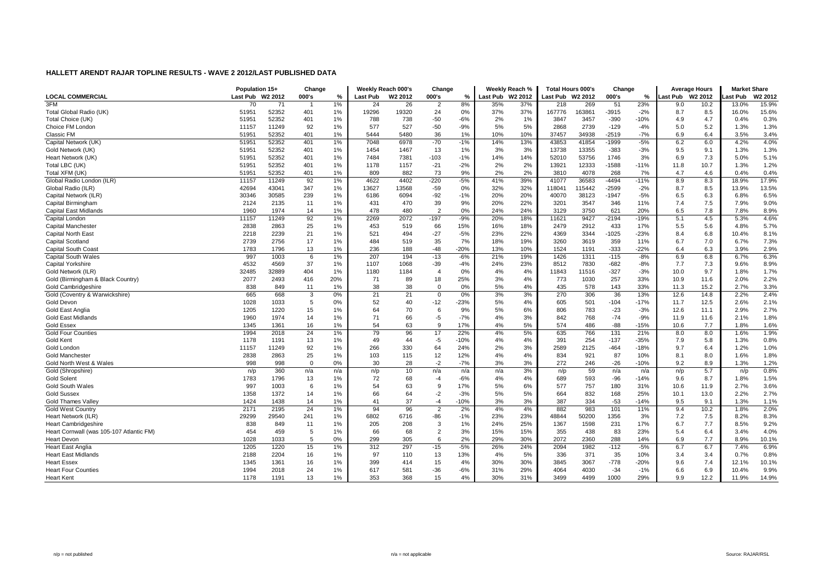|                                          | Population 15+  |                     | Change         |       |                 | Weekly Reach 000's  | Change         |        |          | Weekly Reach %      | <b>Total Hours 000's</b> |        | Change  |        |          | <b>Average Hours</b> | <b>Market Share</b> |                     |
|------------------------------------------|-----------------|---------------------|----------------|-------|-----------------|---------------------|----------------|--------|----------|---------------------|--------------------------|--------|---------|--------|----------|----------------------|---------------------|---------------------|
| <b>LOCAL COMMERCIAL</b>                  | <b>Last Pub</b> | W <sub>2</sub> 2012 | 000's          | %     | <b>Last Pub</b> | W <sub>2</sub> 2012 | 000's          | %      | Last Pub | W <sub>2</sub> 2012 | Last Pub W2 2012         |        | 000's   | %      | Last Pub | W <sub>2</sub> 2012  | ast Pub             | W <sub>2</sub> 2012 |
| 3FM                                      | 70              | 71                  |                | 1%    | 24              | 26                  | $\overline{2}$ | 8%     | 35%      | 37%                 | 218                      | 269    | 51      | 23%    | 9.0      | 10.2                 | 13.0%               | 15.9%               |
| Total Global Radio (UK)                  | 51951           | 52352               | 401            | 1%    | 19296           | 19320               | 24             | 0%     | 37%      | 37%                 | 167776                   | 63861  | $-3915$ | $-2%$  | 8.7      | 8.5                  | 16.0%               | 15.6%               |
| Total Choice (UK)                        | 51951           | 52352               | 401            | 1%    | 788             | 738                 | $-50$          | $-6%$  | 2%       | 1%                  | 3847                     | 3457   | $-390$  | $-10%$ | 4.9      | 4.7                  | 0.4%                | 0.3%                |
| Choice FM London                         | 11157           | 11249               | 92             | 1%    | 577             | 527                 | $-50$          | $-9%$  | 5%       | 5%                  | 2868                     | 2739   | $-129$  | $-4%$  | 5.0      | 5.2                  | 1.3%                | 1.3%                |
| Classic FM                               | 51951           | 52352               | 401            | $1\%$ | 5444            | 5480                | 36             | 1%     | 10%      | 10%                 | 37457                    | 34938  | $-2519$ | $-7%$  | 6.9      | 6.4                  | 3.5%                | 3.4%                |
| Capital Network (UK)                     | 51951           | 52352               | 401            | 1%    | 7048            | 6978                | $-70$          | $-1%$  | 14%      | 13%                 | 43853                    | 41854  | -1999   | $-5%$  | 6.2      | 6.0                  | 4.2%                | 4.0%                |
| Gold Network (UK)                        | 51951           | 52352               | 401            | $1\%$ | 1454            | 1467                | 13             | 1%     | 3%       | 3%                  | 13738                    | 13355  | $-383$  | $-3%$  | 9.5      | 9.1                  | 1.3%                | 1.3%                |
| Heart Network (UK)                       | 51951           | 52352               | 401            | $1\%$ | 7484            | 7381                | $-103$         | $-1%$  | 14%      | 14%                 | 52010                    | 53756  | 1746    | 3%     | 6.9      | 7.3                  | 5.0%                | 5.1%                |
| Total LBC (UK)                           | 51951           | 52352               | 401            | $1\%$ | 1178            | 1157                | $-21$          | $-2%$  | 2%       | 2%                  | 13921                    | 12333  | $-1588$ | $-11%$ | 11.8     | 10.7                 | 1.3%                | 1.2%                |
| Total XFM (UK)                           | 51951           | 52352               | 401            | $1\%$ | 809             | 882                 | 73             | 9%     | 2%       | 2%                  | 3810                     | 4078   | 268     | 7%     | 4.7      | 4.6                  | 0.4%                | 0.4%                |
| Global Radio London (ILR)                | 11157           | 11249               | 92             | $1\%$ | 4622            | 4402                | $-220$         | $-5%$  | 41%      | 39%                 | 41077                    | 36583  | $-4494$ | $-11%$ | 8.9      | 8.3                  | 18.9%               | 17.9%               |
| Global Radio (ILR)                       | 42694           | 43041               | 347            | $1\%$ | 13627           | 13568               | $-59$          | 0%     | 32%      | 32%                 | 118041                   | 115442 | $-2599$ | $-2%$  | 8.7      | 8.5                  | 13.9%               | 13.5%               |
| Capital Network (ILR)                    | 30346           | 30585               | 239            | 1%    | 6186            | 6094                | $-92$          | $-1%$  | 20%      | 20%                 | 40070                    | 38123  | $-1947$ | $-5%$  | 6.5      | 6.3                  | 6.8%                | 6.5%                |
| Capital Birmingham                       | 2124            | 2135                | 11             | $1\%$ | 431             | 470                 | 39             | 9%     | 20%      | 22%                 | 3201                     | 3547   | 346     | 11%    | 7.4      | 7.5                  | 7.9%                | 9.0%                |
| <b>Capital East Midlands</b>             | 1960            | 1974                | 14             | 1%    | 478             | 480                 | $\overline{2}$ | 0%     | 24%      | 24%                 | 3129                     | 3750   | 621     | 20%    | 6.5      | 7.8                  | 7.8%                | 8.9%                |
| Capital London                           | 11157           | 11249               | 92             | 1%    | 2269            | 2072                | $-197$         | $-9%$  | 20%      | 18%                 | 11621                    | 9427   | $-2194$ | $-19%$ | 5.1      | 4.5                  | 5.3%                | 4.6%                |
| Capital Manchester                       | 2838            | 2863                | 25             | $1\%$ | 453             | 519                 | 66             | 15%    | 16%      | 18%                 | 2479                     | 2912   | 433     | 17%    | 5.5      | 5.6                  | 4.8%                | 5.7%                |
| <b>Capital North East</b>                | 2218            | 2239                | 21             | $1\%$ | 521             | 494                 | $-27$          | $-5%$  | 23%      | 22%                 | 4369                     | 3344   | $-1025$ | $-23%$ | 8.4      | 6.8                  | 10.4%               | 8.1%                |
| Capital Scotland                         | 2739            | 2756                | 17             | $1\%$ | 484             | 519                 | 35             | 7%     | 18%      | 19%                 | 3260                     | 3619   | 359     | 11%    | 6.7      | 7.0                  | 6.7%                | 7.3%                |
| Capital South Coast                      | 1783            | 1796                | 13             | 1%    | 236             | 188                 | $-48$          | $-20%$ | 13%      | 10%                 | 1524                     | 1191   | $-333$  | $-22%$ | 6.4      | 6.3                  | 3.9%                | 2.9%                |
| Capital South Wales                      | 997             | 1003                | 6              | 1%    | 207             | 194                 | $-13$          | $-6%$  | 21%      | 19%                 | 1426                     | 1311   | $-115$  | $-8%$  | 6.9      | 6.8                  | 6.7%                | 6.3%                |
| Capital Yorkshire                        | 4532            | 4569                | 37             | 1%    | 1107            | 1068                | $-39$          | $-4%$  | 24%      | 23%                 | 8512                     | 7830   | $-682$  | $-8%$  | 7.7      | 7.3                  | 9.6%                | 8.9%                |
| Gold Network (ILR)                       | 32485           | 32889               | 404            | $1\%$ | 1180            | 1184                | $\overline{4}$ | 0%     | 4%       | 4%                  | 11843                    | 11516  | $-327$  | $-3%$  | 10.0     | 9.7                  | 1.8%                | 1.7%                |
| Gold (Birmingham & Black Country)        | 2077            | 2493                | 416            | 20%   | 71              | 89                  | 18             | 25%    | 3%       | 4%                  | 773                      | 1030   | 257     | 33%    | 10.9     | 11.6                 | 2.0%                | 2.2%                |
| Gold Cambridgeshire                      | 838             | 849                 | 11             | 1%    | 38              | 38                  | $\Omega$       | 0%     | 5%       | 4%                  | 435                      | 578    | 143     | 33%    | 11.3     | 15.2                 | 2.7%                | 3.3%                |
| Gold (Coventry & Warwickshire)           | 665             | 668                 | 3              | 0%    | 21              | 21                  | $\mathbf 0$    | 0%     | 3%       | 3%                  | 270                      | 306    | 36      | 13%    | 12.6     | 14.8                 | 2.2%                | 2.4%                |
| Gold Devon                               | 1028            | 1033                | 5              | 0%    | 52              | 40                  | $-12$          | $-23%$ | 5%       | 4%                  | 605                      | 501    | $-104$  | $-17%$ | 11.7     | 12.5                 | 2.6%                | 2.1%                |
| Gold East Anglia                         | 1205            | 1220                | 15             | 1%    | 64              | 70                  | 6              | 9%     | 5%       | 6%                  | 806                      | 783    | $-23$   | $-3%$  | 12.6     | 11.1                 | 2.9%                | 2.7%                |
| <b>Gold East Midlands</b>                | 1960            | 1974                | 14             | 1%    | 71              | 66                  | $-5$           | $-7%$  | 4%       | 3%                  | 842                      | 768    | $-74$   | $-9%$  | 11.9     | 11.6                 | 2.1%                | 1.8%                |
| <b>Gold Essex</b>                        | 1345            | 1361                | 16             | $1\%$ | 54              | 63                  | 9              | 17%    | 4%       | 5%                  | 574                      | 486    | $-88$   | $-15%$ | 10.6     | 7.7                  | 1.8%                | 1.6%                |
| <b>Gold Four Counties</b>                | 1994            | 2018                | 24             | 1%    | 79              | 96                  | 17             | 22%    | 4%       | 5%                  | 635                      | 766    | 131     | 21%    | 8.0      | 8.0                  | 1.6%                | 1.9%                |
| Gold Kent                                | 1178            | 1191                | 13             | $1\%$ | 49              | 44                  | $-5$           | $-10%$ | 4%       | 4%                  | 391                      | 254    | $-137$  | $-35%$ | 7.9      | 5.8                  | 1.3%                | 0.8%                |
| Gold London                              | 11157           | 11249               | 92             | $1\%$ | 266             | 330                 | 64             | 24%    | 2%       | 3%                  | 2589                     | 2125   | $-464$  | $-18%$ | 9.7      | 6.4                  | 1.2%                | 1.0%                |
| <b>Gold Manchester</b>                   | 2838            | 2863                | 25             | $1\%$ | 103             | 115                 | 12             | 12%    | 4%       | 4%                  | 834                      | 921    | 87      | 10%    | 8.1      | 8.0                  | 1.6%                | 1.8%                |
| Gold North West & Wales                  | 998             | 998                 | $\overline{0}$ | 0%    | 30              | 28                  | $-2$           | $-7%$  | 3%       | 3%                  | 272                      | 246    | $-26$   | $-10%$ | 9.2      | 8.9                  | 1.3%                | 1.2%                |
| Gold (Shropshire)                        | n/p             | 360                 | n/a            | n/a   | n/p             | 10                  | n/a            | n/a    | n/a      | 3%                  | n/p                      | 59     | n/a     | n/a    | n/p      | 5.7                  | n/p                 | 0.8%                |
| <b>Gold Solent</b>                       | 1783            | 1796                | 13             | 1%    | 72              | 68                  | $-4$           | $-6%$  | 4%       | 4%                  | 689                      | 593    | $-96$   | $-14%$ | 9.6      | 8.7                  | 1.8%                | 1.5%                |
| <b>Gold South Wales</b>                  | 997             | 1003                | 6              | 1%    | 54              | 63                  | -9             | 17%    | 5%       | 6%                  | 577                      | 757    | 180     | 31%    | 10.6     | 11.9                 | 2.7%                | 3.6%                |
| <b>Gold Sussex</b>                       | 1358            | 1372                | 14             | $1\%$ | 66              | 64                  | $-2$           | $-3%$  | 5%       | 5%                  | 664                      | 832    | 168     | 25%    | 10.1     | 13.0                 | 2.2%                | 2.7%                |
| <b>Gold Thames Valley</b>                | 1424            | 1438                | 14             | 1%    | 41              | 37                  | $-4$           | $-10%$ | 3%       | 3%                  | 387                      | 334    | $-53$   | $-14%$ | 9.5      | 9.1                  | 1.3%                | 1.1%                |
| <b>Gold West Country</b>                 | 2171            | 2195                | 24             | 1%    | 94              | 96                  | $\overline{2}$ | 2%     | 4%       | 4%                  | 882                      | 983    | 101     | 11%    | 9.4      | 10.2                 | 1.8%                | 2.0%                |
| Heart Network (ILR)                      | 29299           | 29540               | 241            | $1\%$ | 6802            | 6716                | -86            | $-1%$  | 23%      | 23%                 | 48844                    | 50200  | 1356    | 3%     | 7.2      | 7.5                  | 8.2%                | 8.3%                |
| <b>Heart Cambridgeshire</b>              | 838             | 849                 | 11             | 1%    | 205             | 208                 | 3              | 1%     | 24%      | 25%                 | 1367                     | 1598   | 231     | 17%    | 6.7      | 7.7                  | 8.5%                | 9.2%                |
| Heart Cornwall (was 105-107 Atlantic FM) | 454             | 459                 | 5              | $1\%$ | 66              | 68                  | $\overline{2}$ | 3%     | 15%      | 15%                 | 355                      | 438    | 83      | 23%    | 5.4      | 6.4                  | 3.4%                | 4.0%                |
| Heart Devon                              | 1028            | 1033                | 5              | 0%    | 299             | 305                 | 6              | 2%     | 29%      | 30%                 | 2072                     | 2360   | 288     | 14%    | 6.9      | 7.7                  | 8.9%                | 10.1%               |
| <b>Heart East Anglia</b>                 | 1205            | 1220                | 15             | 1%    | 312             | 297                 | $-15$          | $-5%$  | 26%      | 24%                 | 2094                     | 1982   | $-112$  | $-5%$  | 6.7      | 6.7                  | 7.4%                | 6.9%                |
| <b>Heart East Midlands</b>               | 2188            | 2204                | 16             | $1\%$ | 97              | 110                 | 13             | 13%    | 4%       | 5%                  | 336                      | 371    | 35      | 10%    | 3.4      | 3.4                  | 0.7%                | 0.8%                |
| <b>Heart Essex</b>                       | 1345            | 1361                | 16             | $1\%$ | 399             | 414                 | 15             | 4%     | 30%      | 30%                 | 3845                     | 3067   | $-778$  | $-20%$ | 9.6      | 7.4                  | 12.1%               | 10.1%               |
| <b>Heart Four Counties</b>               | 1994            | 2018                | 24             | 1%    | 617             | 581                 | $-36$          | $-6%$  | 31%      | 29%                 | 4064                     | 4030   | $-34$   | $-1%$  | 6.6      | 6.9                  | 10.4%               | 9.9%                |
| Heart Kent                               | 1178            | 1191                | 13             | 1%    | 353             | 368                 | 15             | 4%     | 30%      | 31%                 | 3499                     | 4499   | 1000    | 29%    | 9.9      | 12.2                 | 11.9%               | 14.9%               |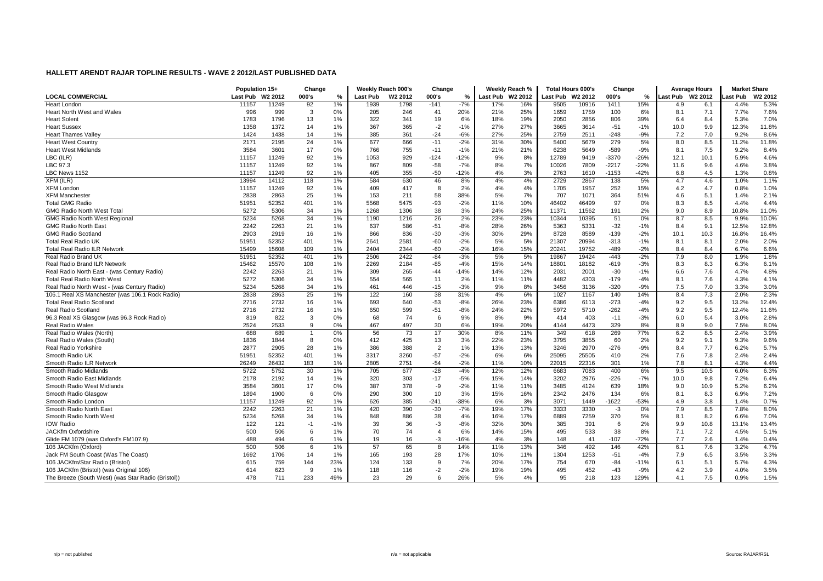|                                                          | Population 15+  |                     | Change   |       |                 | Weekly Reach 000's  | Change         |                |            | Weekly Reach % | <b>Total Hours 000's</b> |       | Change        |        |                  | <b>Average Hours</b> | <b>Market Share</b> |                     |
|----------------------------------------------------------|-----------------|---------------------|----------|-------|-----------------|---------------------|----------------|----------------|------------|----------------|--------------------------|-------|---------------|--------|------------------|----------------------|---------------------|---------------------|
| <b>LOCAL COMMERCIAL</b>                                  | <b>Last Pub</b> | W <sub>2</sub> 2012 | 000's    | $\%$  | <b>Last Pub</b> | W <sub>2</sub> 2012 | 000's          | %              | Last Pub   | W2 2012        | Last Pub W2 2012         |       | 000's         | %      | Last Pub W2 2012 |                      | Last Pub            | W <sub>2</sub> 2012 |
| <b>Heart London</b>                                      | 11157           | 11249               | 92       | 1%    | 1939            | 1798                | $-141$         | $-7%$          | 17%        | 16%            | 9505                     | 10916 | 1411          | 15%    | 4.9              | 6.1                  | 4.4%                | 5.3%                |
| Heart North West and Wales                               | 996             | 999                 | 3        | 0%    | 205             | 246                 | 41             | 20%            | 21%        | 25%            | 1659                     | 1759  | 100           | 6%     | 8.1              | 7.1                  | 7.7%                | 7.6%                |
| <b>Heart Solent</b>                                      | 1783            | 1796                | 13       | $1\%$ | 322             | 341                 | 19             | 6%             | 18%        | 19%            | 2050                     | 2856  | 806           | 39%    | 6.4              | 8.4                  | 5.3%                | 7.0%                |
| <b>Heart Sussex</b>                                      | 1358            | 1372                | 14       | $1\%$ | 367             | 365                 | $-2$           | $-1%$          | 27%        | 27%            | 3665                     | 3614  | $-51$         | $-1%$  | 10.0             | 9.9                  | 12.3%               | 11.8%               |
| <b>Heart Thames Valley</b>                               | 1424            | 1438                | 14       | $1\%$ | 385             | 361                 | $-24$          | $-6%$          | 27%        | 25%            | 2759                     | 2511  | $-248$        | $-9%$  | 7.2              | 7.0                  | 9.2%                | 8.6%                |
| <b>Heart West Country</b>                                | 2171            | 2195                | 24       | 1%    | 677             | 666                 | $-11$          | $-2%$          | 31%        | 30%            | 5400                     | 5679  | 279           | 5%     | 8.0              | 8.5                  | 11.2%               | 11.8%               |
| <b>Heart West Midlands</b>                               | 3584            | 3601                | 17       | 0%    | 766             | 755                 | $-11$          | $-1%$          | 21%        | 21%            | 6238                     | 5649  | $-589$        | $-9%$  | 8.1              | 7.5                  | 9.2%                | 8.4%                |
| LBC (ILR)                                                | 11157           | 11249               | 92       | 1%    | 1053            | 929                 | $-124$         | $-12%$         | 9%         | 8%             | 12789                    | 9419  | $-3370$       | $-26%$ | 12.1             | 10.1                 | 5.9%                | 4.6%                |
| LBC 97.3                                                 | 11157           | 11249               | 92       | $1\%$ | 867             | 809                 | $-58$          | $-7%$          | 8%         | 7%             | 10026                    | 7809  | $-2217$       | $-22%$ | 11.6             | 9.6                  | 4.6%                | 3.8%                |
| LBC News 1152                                            | 11157           | 11249               | 92       | 1%    | 405             | 355                 | $-50$          | $-12%$         | 4%         | 3%             | 2763                     | 1610  | $-1153$       | $-42%$ | 6.8              | 4.5                  | 1.3%                | 0.8%                |
| $XFM$ (ILR)                                              | 13994           | 14112               | 118      | $1\%$ | 584             | 630                 | 46             | 8%             | 4%         | 4%             | 2729                     | 2867  | 138           | 5%     | 4.7              | 4.6                  | 1.0%                | 1.1%                |
| <b>XFM London</b>                                        | 11157           | 11249               | 92       | $1\%$ | 409             | 417                 | 8              | 2%             | 4%         | 4%             | 1705                     | 1957  | 252           | 15%    | 4.2              | 4.7                  | 0.8%                | 1.0%                |
| <b>XFM Manchester</b>                                    | 2838            | 2863                | 25       | $1\%$ | 153             | 211                 | 58             | 38%            | 5%         | 7%             | 707                      | 1071  | 364           | 51%    | 4.6              | 5.1                  | 1.4%                | 2.1%                |
| <b>Total GMG Radio</b>                                   | 51951           | 52352               | 401      | 1%    | 5568            | 5475                | $-93$          | $-2%$          | 11%        | 10%            | 46402                    | 46499 | 97            | 0%     | 8.3              | 8.5                  | 4.4%                | 4.4%                |
| <b>GMG Radio North West Total</b>                        | 5272            | 5306                | 34       | 1%    | 1268            | 1306                | 38             | 3%             | 24%        | 25%            | 11371                    | 11562 | 191           | 2%     | 9.0              | 8.9                  | 10.8%               | 11.0%               |
| GMG Radio North West Regional                            | 5234            | 5268                | 34       | $1\%$ | 1190            | 1216                | 26             | 2%             | 23%        | 23%            | 10344                    | 10395 | 51            | 0%     | 8.7              | 8.5                  | 9.9%                | 10.0%               |
| <b>GMG Radio North East</b>                              | 2242            | 2263                | 21       | $1\%$ | 637             | 586                 | $-51$          | $-8%$          | 28%        | 26%            | 5363                     | 5331  | $-32$         | $-1%$  | 8.4              | 9.1                  | 12.5%               | 12.8%               |
| <b>GMG Radio Scotland</b>                                | 2903            | 2919                | 16       | $1\%$ | 866             | 836                 | $-30$          | $-3%$          | 30%        | 29%            | 8728                     | 8589  | $-139$        | $-2%$  | 10.1             | 10.3                 | 16.8%               | 16.4%               |
| <b>Total Real Radio UK</b>                               | 51951           | 52352               | 401      | 1%    | 2641            | 2581                | $-60$          | $-2%$          | 5%         | 5%             | 21307                    | 20994 | $-313$        | $-1%$  | 8.1              | 8.1                  | 2.0%                | 2.0%                |
| <b>Total Real Radio ILR Network</b>                      | 15499           | 15608               | 109      | $1\%$ | 2404            | 2344                | $-60$          | $-2%$          | 16%        | 15%            | 20241                    | 19752 | $-489$        | $-2%$  | 8.4              | 8.4                  | 6.7%                | 6.6%                |
| Real Radio Brand UK                                      | 51951           | 52352               | 401      | $1\%$ | 2506            | 2422                | $-84$          | $-3%$          | 5%         | 5%             | 19867                    | 19424 | $-443$        | $-2%$  | 7.9              | 8.0                  | 1.9%                | 1.8%                |
| Real Radio Brand ILR Network                             | 15462           | 15570               | 108      | $1\%$ | 2269            | 2184                | $-85$          | $-4%$          | 15%        | 14%            | 18801                    | 18182 | $-619$        | $-3%$  | 8.3              | 8.3                  | 6.3%                | 6.1%                |
| Real Radio North East - (was Century Radio)              | 2242            | 2263                | 21       | $1\%$ | 309             | 265                 | $-44$          | $-14%$         | 14%        | 12%            | 2031                     | 2001  | $-30$         | $-1%$  | 6.6              | 7.6                  | 4.7%                | 4.8%                |
| <b>Total Real Radio North West</b>                       | 5272            | 5306                | 34       | $1\%$ | 554             | 565                 | 11             | 2%             | 11%        | 11%            | 4482                     | 4303  | $-179$        | $-4%$  | 8.1              | 7.6                  | 4.3%                | 4.1%                |
| Real Radio North West - (was Century Radio)              | 5234            | 5268                | 34       | $1\%$ | 461             | 446                 | $-15$          | $-3%$          | 9%         | 8%             | 3456                     | 3136  | $-320$        | $-9%$  | 7.5              | 7.0                  | 3.3%                | 3.0%                |
| 106.1 Real XS Manchester (was 106.1 Rock Radio)          | 2838            | 2863                | 25       | 1%    | 122             | 160                 | 38             | 31%            | 4%         | 6%             | 1027                     | 1167  | 140           | 14%    | 8.4              | 7.3                  | 2.0%                | 2.3%                |
| <b>Total Real Radio Scotland</b>                         | 2716            | 2732                | 16       | $1\%$ | 693             | 640                 | $-53$          | $-8%$          | 26%        | 23%            | 6386                     | 6113  | $-273$        | $-4%$  | 9.2              | 9.5                  | 13.2%               | 12.4%               |
| Real Radio Scotland                                      | 2716            | 2732                | 16       | 1%    | 650             | 599                 | $-51$          | $-8%$          | 24%        | 22%            | 5972                     | 5710  | $-262$        | $-4%$  | 9.2              | 9.5                  | 12.4%               | 11.6%               |
| 96.3 Real XS Glasgow (was 96.3 Rock Radio)               | 819             | 822                 | 3        | 0%    | 68              | 74                  | 6              | 9%             | 8%         | 9%             | 414                      | 403   | $-11$         | $-3%$  | 6.0              | 5.4                  | 3.0%                | 2.8%                |
| <b>Real Radio Wales</b>                                  | 2524            | 2533                | 9        | 0%    | 467             | 497                 | 30             | 6%             | 19%        | 20%            | 4144                     | 4473  | 329           | 8%     | 8.9              | 9.0                  | 7.5%                | 8.0%                |
| Real Radio Wales (North)                                 | 688             | 689                 |          | 0%    | 56              | 73                  | 17             | 30%            | 8%         | 11%            | 349                      | 618   | 269           | 77%    | 6.2              | 8.5                  | 2.4%                | 3.9%                |
| Real Radio Wales (South)                                 | 1836            | 1844                | -8       | 0%    | 412             | 425                 | 13             | 3%             | 22%        | 23%            | 3795                     | 3855  | 60            | 2%     | 9.2              | 9.1                  | 9.3%                | 9.6%                |
| Real Radio Yorkshire                                     | 2877            | 2905                | 28       | $1\%$ | 386             | 388                 | $\overline{2}$ | 1%             | 13%        | 13%            | 3246                     | 2970  | $-276$        | $-9%$  | 8.4              | 7.7                  | 6.2%                | 5.7%                |
| Smooth Radio UK                                          | 51951           | 52352               | 401      | 1%    | 3317            | 3260                | $-57$          | $-2%$          | 6%         | 6%             | 25095                    | 25505 | 410           | 2%     | 7.6              | 7.8                  | 2.4%                | 2.4%                |
| Smooth Radio ILR Network                                 | 26249           | 26432               | 183      | $1\%$ | 2805            | 2751                | $-54$          | $-2%$          | 11%        | 10%            | 22015                    | 22316 | 301           | 1%     | 7.8              | 8.1                  | 4.3%                | 4.4%                |
| Smooth Radio Midlands                                    | 5722            | 5752                | 30       | 1%    | 705             | 677                 | $-28$          | $-4%$          | 12%        | 12%            | 6683                     | 7083  | 400           | 6%     | 9.5              | 10.5                 | 6.0%                | 6.3%                |
|                                                          | 2178            |                     |          | $1\%$ | 320             |                     |                |                |            |                |                          | 2976  |               | $-7%$  |                  |                      |                     | 6.4%                |
| Smooth Radio East Midlands<br>Smooth Radio West Midlands | 3584            | 2192<br>3601        | 14<br>17 | 0%    | 387             | 303<br>378          | $-17$<br>-9    | $-5%$<br>$-2%$ | 15%<br>11% | 14%<br>11%     | 3202<br>3485             | 4124  | $-226$<br>639 | 18%    | 10.0<br>9.0      | 9.8<br>10.9          | 7.2%<br>5.2%        | 6.2%                |
|                                                          | 1894            | 1900                | 6        | 0%    | 290             | 300                 | 10             | 3%             |            | 16%            | 2342                     | 2476  | 134           | 6%     | 8.1              | 8.3                  | 6.9%                | 7.2%                |
| Smooth Radio Glasgow                                     |                 |                     | 92       |       |                 |                     |                |                | 15%<br>6%  | 3%             |                          |       |               |        |                  |                      |                     | 0.7%                |
| Smooth Radio London                                      | 11157           | 11249               |          | 1%    | 626             | 385                 | $-241$         | $-38%$         |            |                | 3071                     | 1449  | $-1622$       | $-53%$ | 4.9              | 3.8                  | 1.4%                |                     |
| Smooth Radio North East                                  | 2242            | 2263                | 21       | $1\%$ | 420             | 390                 | $-30$          | $-7%$          | 19%        | 17%            | 3333                     | 3330  | $-3$          | 0%     | 7.9              | 8.5                  | 7.8%                | 8.0%                |
| Smooth Radio North West                                  | 5234            | 5268                | 34       | 1%    | 848             | 886                 | 38             | 4%             | 16%        | 17%            | 6889                     | 7259  | 370           | 5%     | 8.1              | 8.2                  | 6.6%                | 7.0%                |
| IOW Radio                                                | 122             | 121                 | $-1$     | $-1%$ | 39              | 36                  | $-3$           | $-8%$          | 32%        | 30%            | 385                      | 391   | 6             | 2%     | 9.9              | 10.8                 | 13.1%               | 13.4%               |
| JACKfm Oxfordshire                                       | 500             | 506                 | 6        | 1%    | 70              | 74                  | $\overline{4}$ | 6%             | 14%        | 15%            | 495                      | 533   | 38            | 8%     | 7.1              | 7.2                  | 4.5%                | 5.1%                |
| Glide FM 1079 (was Oxford's FM107.9)                     | 488             | 494                 | 6        | 1%    | 19              | 16                  | -3             | $-16%$         | 4%         | 3%             | 148                      | 41    | $-107$        | $-72%$ | 7.7              | 2.6                  | 1.4%                | 0.4%                |
| 106 JACKfm (Oxford)                                      | 500             | 506                 | 6        | $1\%$ | 57              | 65                  | 8              | 14%            | 11%        | 13%            | 346                      | 492   | 146           | 42%    | 6.1              | 7.6                  | 3.2%                | 4.7%                |
| Jack FM South Coast (Was The Coast)                      | 1692            | 1706                | 14       | 1%    | 165             | 193                 | 28             | 17%            | 10%        | 11%            | 1304                     | 1253  | $-51$         | $-4%$  | 7.9              | 6.5                  | 3.5%                | 3.3%                |
| 106 JACKfm/Star Radio (Bristol)                          | 615             | 759                 | 144      | 23%   | 124             | 133                 | -9             | 7%             | 20%        | 17%            | 754                      | 670   | -84           | $-11%$ | 6.1              | 5.1                  | 5.7%                | 4.3%                |
| 106 JACKfm (Bristol) (was Original 106)                  | 614             | 623                 | 9        | $1\%$ | 118             | 116                 | $-2$           | $-2%$          | 19%        | 19%            | 495                      | 452   | $-43$         | $-9%$  | 4.2              | 3.9                  | 4.0%                | 3.5%                |
| The Breeze (South West) (was Star Radio (Bristol))       | 478             | 711                 | 233      | 49%   | 23              | 29                  | 6              | 26%            | 5%         | 4%             | 95                       | 218   | 123           | 129%   | 4.1              | 7.5                  | 0.9%                | 1.5%                |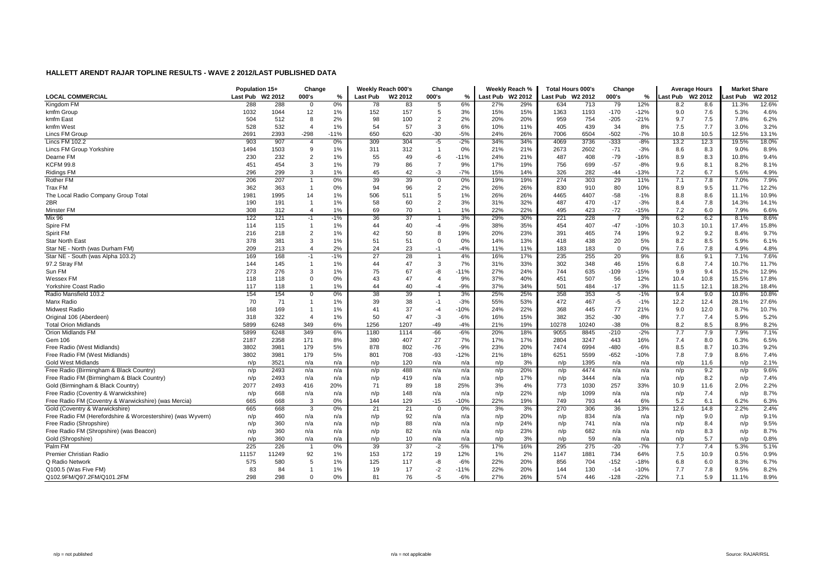|                                                             | Population 15+   |       | Change         |        |          | Weekly Reach 000's  | Change         |        |                  | Weekly Reach % | <b>Total Hours 000's</b> |       | Change         |        | <b>Average Hours</b> |      | <b>Market Share</b> |         |
|-------------------------------------------------------------|------------------|-------|----------------|--------|----------|---------------------|----------------|--------|------------------|----------------|--------------------------|-------|----------------|--------|----------------------|------|---------------------|---------|
| <b>LOCAL COMMERCIAL</b>                                     | Last Pub W2 2012 |       | 000's          | %      | Last Pub | W <sub>2</sub> 2012 | 000's          | %      | Last Pub W2 2012 |                | Last Pub W2 2012         |       | 000's          | %      | Last Pub W2 2012     |      | ast Pub             | W2 2012 |
| Kingdom FM                                                  | 288              | 288   | $\mathbf 0$    | 0%     | 78       | 83                  | 5              | 6%     | 27%              | 29%            | 634                      | 713   | 79             | 12%    | 8.2                  | 8.6  | 11.3%               | 12.6%   |
| kmfm Group                                                  | 1032             | 1044  | 12             | $1\%$  | 152      | 157                 | 5              | 3%     | 15%              | 15%            | 1363                     | 1193  | $-170$         | $-12%$ | 9.0                  | 7.6  | 5.3%                | 4.6%    |
| kmfm East                                                   | 504              | 512   | 8              | 2%     | 98       | 100                 | $\overline{2}$ | 2%     | 20%              | 20%            | 959                      | 754   | $-205$         | $-21%$ | 9.7                  | 7.5  | 7.8%                | 6.2%    |
| kmfm West                                                   | 528              | 532   | $\overline{4}$ | 1%     | 54       | 57                  | 3              | 6%     | 10%              | 11%            | 405                      | 439   | 34             | 8%     | 7.5                  | 7.7  | 3.0%                | 3.2%    |
| Lincs FM Group                                              | 2691             | 2393  | $-298$         | $-11%$ | 650      | 620                 | -30            | $-5%$  | 24%              | 26%            | 7006                     | 6504  | $-502$         | $-7%$  | 10.8                 | 10.5 | 12.5%               | 13.1%   |
| Lincs FM 102.2                                              | 903              | 907   | $\overline{4}$ | 0%     | 309      | 304                 | -5             | $-2%$  | 34%              | 34%            | 4069                     | 3736  | $-333$         | $-8%$  | 13.2                 | 12.3 | 19.5%               | 18.0%   |
| Lincs FM Group Yorkshire                                    | 1494             | 1503  | 9              | $1\%$  | 311      | 312                 | $\overline{1}$ | 0%     | 21%              | 21%            | 2673                     | 2602  | $-71$          | $-3%$  | 8.6                  | 8.3  | 9.0%                | 8.9%    |
| Dearne FM                                                   | 230              | 232   | $\overline{2}$ | $1\%$  | 55       | 49                  | -6             | $-11%$ | 24%              | 21%            | 487                      | 408   | $-79$          | $-16%$ | 8.9                  | 8.3  | 10.8%               | 9.4%    |
| <b>KCFM 99.8</b>                                            | 451              | 454   | 3              | $1\%$  | 79       | 86                  | $\overline{7}$ | 9%     | 17%              | 19%            | 756                      | 699   | $-57$          | $-8%$  | 9.6                  | 8.1  | 8.2%                | 8.1%    |
| <b>Ridings FM</b>                                           | 296              | 299   | 3              | 1%     | 45       | 42                  | -3             | $-7%$  | 15%              | 14%            | 326                      | 282   | $-44$          | $-13%$ | 7.2                  | 6.7  | 5.6%                | 4.9%    |
| <b>Rother FM</b>                                            | 206              | 207   |                | $0\%$  | 39       | 39                  | $\overline{0}$ | 0%     | 19%              | 19%            | 274                      | 303   | 29             | 11%    | 7.1                  | 7.8  | 7.0%                | 7.9%    |
| Trax FM                                                     | 362              | 363   | $\overline{1}$ | 0%     | 94       | 96                  | $\overline{2}$ | 2%     | 26%              | 26%            | 830                      | 910   | 80             | 10%    | 8.9                  | 9.5  | 11.7%               | 12.2%   |
| The Local Radio Company Group Total                         | 1981             | 1995  | 14             | 1%     | 506      | 511                 | 5              | 1%     | 26%              | 26%            | 4465                     | 4407  | $-58$          | $-1%$  | 8.8                  | 8.6  | 11.1%               | 10.9%   |
| 2BR                                                         | 190              | 191   | $\overline{1}$ | 1%     | 58       | 60                  | $\overline{2}$ | 3%     | 31%              | 32%            | 487                      | 470   | $-17$          | $-3%$  | 8.4                  | 7.8  | 14.3%               | 14.1%   |
| Minster FM                                                  | 308              | 312   | $\overline{4}$ | 1%     | 69       | 70                  | $\overline{1}$ | 1%     | 22%              | 22%            | 495                      | 423   | $-72$          | $-15%$ | 7.2                  | 6.0  | 7.9%                | 6.6%    |
| <b>Mix 96</b>                                               | 122              | 121   | $-1$           | $-1%$  | 36       | 37                  | $\overline{1}$ | 3%     | 29%              | 30%            | 221                      | 228   | $\overline{7}$ | 3%     | 6.2                  | 6.2  | 8.1%                | 8.6%    |
| Spire FM                                                    | 114              | 115   | $\overline{1}$ | $1\%$  | 44       | 40                  | -4             | $-9%$  | 38%              | 35%            | 454                      | 407   | $-47$          | $-10%$ | 10.3                 | 10.1 | 17.4%               | 15.8%   |
| Spirit FM                                                   | 216              | 218   | $\overline{2}$ | $1\%$  | 42       | 50                  | 8              | 19%    | 20%              | 23%            | 391                      | 465   | 74             | 19%    | 9.2                  | 9.2  | 8.4%                | 9.7%    |
| <b>Star North East</b>                                      | 378              | 381   | 3              | 1%     | 51       | 51                  | $\overline{0}$ | 0%     | 14%              | 13%            | 418                      | 438   | 20             | 5%     | 8.2                  | 8.5  | 5.9%                | 6.1%    |
| Star NE - North (was Durham FM)                             | 209              | 213   | $\overline{4}$ | 2%     | 24       | 23                  | $-1$           | $-4%$  | 11%              | 11%            | 183                      | 183   | $\mathbf 0$    | 0%     | 7.6                  | 7.8  | 4.9%                | 4.8%    |
| Star NE - South (was Alpha 103.2)                           | 169              | 168   | -1             | $-1%$  | 27       | 28                  | $\mathbf{1}$   | 4%     | 16%              | 17%            | 235                      | 255   | 20             | 9%     | 8.6                  | 9.1  | 7.1%                | 7.6%    |
| 97.2 Stray FM                                               | 144              | 145   | $\overline{1}$ | $1\%$  | 44       | 47                  | 3              | 7%     | 31%              | 33%            | 302                      | 348   | 46             | 15%    | 6.8                  | 7.4  | 10.7%               | 11.7%   |
| Sun FM                                                      | 273              | 276   | 3              | $1\%$  | 75       | 67                  | -8             | $-11%$ | 27%              | 24%            | 744                      | 635   | $-109$         | $-15%$ | 9.9                  | 9.4  | 15.2%               | 12.9%   |
| <b>Wessex FM</b>                                            | 118              | 118   | $\mathbf{0}$   | 0%     | 43       | 47                  | $\overline{4}$ | 9%     | 37%              | 40%            | 451                      | 507   | 56             | 12%    | 10.4                 | 10.8 | 15.5%               | 17.8%   |
| Yorkshire Coast Radio                                       | 117              | 118   | $\overline{1}$ | $1\%$  | 44       | 40                  | $-4$           | $-9%$  | 37%              | 34%            | 501                      | 484   | $-17$          | $-3%$  | 11.5                 | 12.1 | 18.2%               | 18.4%   |
| Radio Mansfield 103.2                                       | 154              | 154   | $\Omega$       | 0%     | 38       | 39                  | $\overline{1}$ | 3%     | 25%              | 25%            | 358                      | 353   | $-5$           | $-1%$  | 9.4                  | 9.0  | 10.8%               | 10.8%   |
| Manx Radio                                                  | 70               | 71    | $\overline{1}$ | $1\%$  | 39       | 38                  | $-1$           | $-3%$  | 55%              | 53%            | 472                      | 467   | $-5$           | $-1%$  | 12.2                 | 12.4 | 28.1%               | 27.6%   |
| <b>Midwest Radio</b>                                        | 168              | 169   |                | 1%     | 41       | 37                  | $-4$           | $-10%$ | 24%              | 22%            | 368                      | 445   | 77             | 21%    | 9.0                  | 12.0 | 8.7%                | 10.7%   |
| Original 106 (Aberdeen)                                     | 318              | 322   | $\overline{4}$ | 1%     | 50       | 47                  | $-3$           | $-6%$  | 16%              | 15%            | 382                      | 352   | $-30$          | $-8%$  | 7.7                  | 7.4  | 5.9%                | 5.2%    |
| <b>Total Orion Midlands</b>                                 | 5899             | 6248  | 349            | 6%     | 1256     | 1207                | -49            | $-4%$  | 21%              | 19%            | 10278                    | 10240 | $-38$          | 0%     | 8.2                  | 8.5  | 8.9%                | 8.2%    |
| Orion Midlands FM                                           | 5899             | 6248  | 349            | 6%     | 1180     | 1114                | $-66$          | $-6%$  | 20%              | 18%            | 9055                     | 8845  | $-210$         | $-2%$  | 7.7                  | 7.9  | 7.9%                | 7.1%    |
| Gem 106                                                     | 2187             | 2358  | 171            | 8%     | 380      | 407                 | 27             | 7%     | 17%              | 17%            | 2804                     | 3247  | 443            | 16%    | 7.4                  | 8.0  | 6.3%                | 6.5%    |
| Free Radio (West Midlands)                                  | 3802             | 3981  | 179            | 5%     | 878      | 802                 | $-76$          | $-9%$  | 23%              | 20%            | 7474                     | 6994  | $-480$         | $-6%$  | 8.5                  | 8.7  | 10.3%               | 9.2%    |
| Free Radio FM (West Midlands)                               | 3802             | 3981  | 179            | 5%     | 801      | 708                 | $-93$          | $-12%$ | 21%              | 18%            | 6251                     | 5599  | $-652$         | $-10%$ | 7.8                  | 7.9  | 8.6%                | 7.4%    |
| <b>Gold West Midlands</b>                                   | n/p              | 3521  | n/a            | n/a    | n/p      | 120                 | n/a            | n/a    | n/p              | 3%             | n/p                      | 1395  | n/a            | n/a    | n/p                  | 11.6 | n/p                 | 2.1%    |
| Free Radio (Birmingham & Black Country)                     | n/p              | 2493  | n/a            | n/a    | n/p      | 488                 | n/a            | n/a    | n/p              | 20%            | n/p                      | 4474  | n/a            | n/a    | n/p                  | 9.2  | n/p                 | 9.6%    |
| Free Radio FM (Birmingham & Black Country)                  | n/p              | 2493  | n/a            | n/a    | n/p      | 419                 | n/a            | n/a    | n/p              | 17%            | n/p                      | 3444  | n/a            | n/a    | n/p                  | 8.2  | n/p                 | 7.4%    |
| Gold (Birmingham & Black Country)                           | 2077             | 2493  | 416            | 20%    | 71       | 89                  | 18             | 25%    | 3%               | 4%             | 773                      | 1030  | 257            | 33%    | 10.9                 | 11.6 | 2.0%                | 2.2%    |
| Free Radio (Coventry & Warwickshire)                        | n/p              | 668   | n/a            | n/a    | n/p      | 148                 | n/a            | n/a    | n/p              | 22%            | n/p                      | 1099  | n/a            | n/a    | n/p                  | 7.4  | n/p                 | 8.7%    |
| Free Radio FM (Coventry & Warwickshire) (was Mercia)        | 665              | 668   | 3              | 0%     | 144      | 129                 | $-15$          | $-10%$ | 22%              | 19%            | 749                      | 793   | 44             | 6%     | 5.2                  | 6.1  | 6.2%                | 6.3%    |
| Gold (Coventry & Warwickshire)                              | 665              | 668   | 3              | $0\%$  | 21       | 21                  | $\overline{0}$ | 0%     | 3%               | 3%             | 270                      | 306   | 36             | 13%    | 12.6                 | 14.8 | 2.2%                | 2.4%    |
| Free Radio FM (Herefordshire & Worcestershire) (was Wyvern) | n/p              | 460   | n/a            | n/a    | n/p      | 92                  | n/a            | n/a    | n/p              | 20%            | n/p                      | 834   | n/a            | n/a    | n/p                  | 9.0  | n/p                 | 9.1%    |
| Free Radio (Shropshire)                                     | n/p              | 360   | n/a            | n/a    | n/p      | 88                  | n/a            | n/a    | n/p              | 24%            | n/p                      | 741   | n/a            | n/a    | n/p                  | 8.4  | n/p                 | 9.5%    |
| Free Radio FM (Shropshire) (was Beacon)                     | n/p              | 360   | n/a            | n/a    | n/p      | 82                  | n/a            | n/a    | n/p              | 23%            | n/p                      | 682   | n/a            | n/a    | n/p                  | 8.3  | n/p                 | 8.7%    |
| Gold (Shropshire)                                           | n/p              | 360   | n/a            | n/a    | n/p      | 10                  | n/a            | n/a    | n/p              | 3%             | n/p                      | 59    | n/a            | n/a    | n/p                  | 5.7  | n/p                 | 0.8%    |
| Palm FM                                                     | 225              | 226   |                | 0%     | 39       | 37                  | $-2$           | $-5%$  | 17%              | 16%            | 295                      | 275   | $-20$          | $-7%$  | 7.7                  | 7.4  | 5.3%                | 5.1%    |
| Premier Christian Radio                                     | 11157            | 11249 | 92             | $1\%$  | 153      | 172                 | 19             | 12%    | 1%               | 2%             | 1147                     | 1881  | 734            | 64%    | 7.5                  | 10.9 | 0.5%                | 0.9%    |
| Q Radio Network                                             | 575              | 580   | 5              | 1%     | 125      | 117                 | -8             | $-6%$  | 22%              | 20%            | 856                      | 704   | $-152$         | $-18%$ | 6.8                  | 6.0  | 8.3%                | 6.7%    |
| Q100.5 (Was Five FM)                                        | 83               | 84    | $\overline{1}$ | $1\%$  | 19       | 17                  | $-2$           | $-11%$ | 22%              | 20%            | 144                      | 130   | $-14$          | $-10%$ | 7.7                  | 7.8  | 9.5%                | 8.2%    |
| Q102.9FM/Q97.2FM/Q101.2FM                                   | 298              | 298   | $\Omega$       | 0%     | 81       | 76                  | -5             | $-6%$  | 27%              | 26%            | 574                      | 446   | $-128$         | $-22%$ | 7.1                  | 5.9  | 11.1%               | 8.9%    |
|                                                             |                  |       |                |        |          |                     |                |        |                  |                |                          |       |                |        |                      |      |                     |         |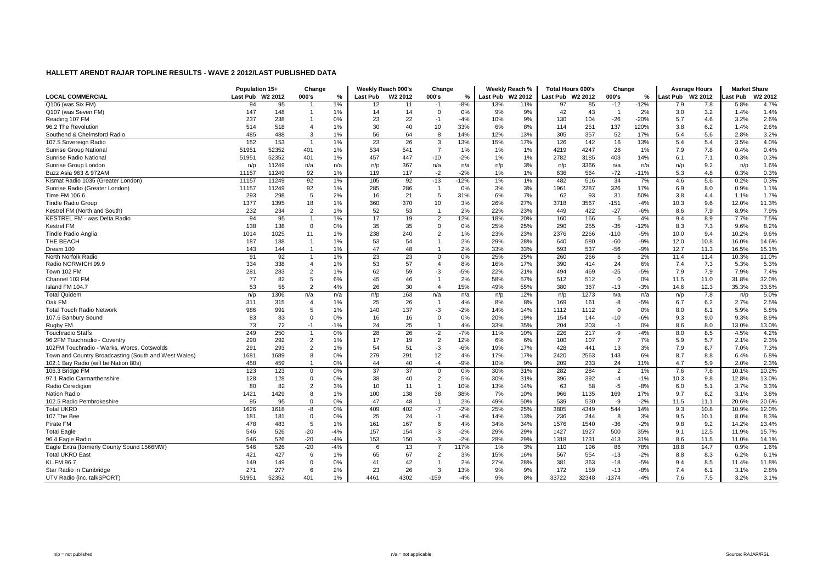|                                                      | Population 15+   |       | Change         |       |          | Weekly Reach 000's | Change         |        |                  | Weekly Reach % | <b>Total Hours 000's</b> |       | Change         |        | <b>Average Hours</b> |         | <b>Market Share</b> |         |
|------------------------------------------------------|------------------|-------|----------------|-------|----------|--------------------|----------------|--------|------------------|----------------|--------------------------|-------|----------------|--------|----------------------|---------|---------------------|---------|
| <b>LOCAL COMMERCIAL</b>                              | Last Pub W2 2012 |       | 000's          | %     | Last Pub | W2 2012            | 000's          | %      | Last Pub W2 2012 |                | Last Pub W2 2012         |       | 000's          | %      | Last Pub             | W2 2012 | ast Pub             | W2 2012 |
| Q106 (was Six FM)                                    | 94               | 95    |                | 1%    | 12       | 11                 | $-1$           | $-8%$  | 13%              | 11%            | 97                       | 85    | $-12$          | $-12%$ | 7.9                  | 7.8     | 5.8%                | 4.7%    |
| Q107 (was Seven FM)                                  | 147              | 148   |                | 1%    | 14       | 14                 | $\overline{0}$ | 0%     | 9%               | 9%             | 42                       | 43    | $\overline{1}$ | 2%     | 3.0                  | 3.2     | 1.4%                | 1.4%    |
| Reading 107 FM                                       | 237              | 238   |                | 0%    | 23       | 22                 | $-1$           | $-4%$  | 10%              | 9%             | 130                      | 104   | $-26$          | $-20%$ | 5.7                  | 4.6     | 3.2%                | 2.6%    |
| 96.2 The Revolution                                  | 514              | 518   | 4              | 1%    | 30       | 40                 | 10             | 33%    | 6%               | 8%             | 114                      | 251   | 137            | 120%   | 3.8                  | 6.2     | 1.4%                | 2.6%    |
| Southend & Chelmsford Radio                          | 485              | 488   | 3              | 1%    | 56       | 64                 | 8              | 14%    | 12%              | 13%            | 305                      | 357   | 52             | 17%    | 5.4                  | 5.6     | 2.8%                | 3.2%    |
| 107.5 Sovereign Radio                                | 152              | 153   | -1             | 1%    | 23       | 26                 | 3              | 13%    | 15%              | 17%            | 126                      | 142   | 16             | 13%    | 5.4                  | 5.4     | 3.5%                | 4.0%    |
| Sunrise Group Nationa                                | 51951            | 52352 | 401            | 1%    | 534      | 541                | $\overline{7}$ | 1%     | 1%               | 1%             | 4219                     | 4247  | 28             | 1%     | 7.9                  | 7.8     | 0.4%                | 0.4%    |
| Sunrise Radio National                               | 51951            | 52352 | 401            | 1%    | 457      | 447                | $-10$          | $-2%$  | 1%               | 1%             | 2782                     | 3185  | 403            | 14%    | 6.1                  | 7.1     | 0.3%                | 0.3%    |
| Sunrise Group London                                 | n/p              | 11249 | n/a            | n/a   | n/p      | 367                | n/a            | n/a    | n/p              | 3%             | n/p                      | 3366  | n/a            | n/a    | n/p                  | 9.2     | n/p                 | 1.6%    |
| Buzz Asia 963 & 972AM                                | 11157            | 11249 | 92             | 1%    | 119      | 117                | $-2$           | $-2%$  | $1\%$            | 1%             | 636                      | 564   | $-72$          | $-11%$ | 5.3                  | 4.8     | 0.3%                | 0.3%    |
| Kismat Radio 1035 (Greater London)                   | 11157            | 11249 | 92             | 1%    | 105      | 92                 | $-13$          | $-12%$ | $1\%$            | 1%             | 482                      | 516   | 34             | 7%     | 4.6                  | 5.6     | 0.2%                | 0.3%    |
| Sunrise Radio (Greater London)                       | 11157            | 11249 | 92             | 1%    | 285      | 286                | $\overline{1}$ | 0%     | 3%               | 3%             | 1961                     | 2287  | 326            | 17%    | 6.9                  | 8.0     | 0.9%                | 1.1%    |
| Time FM 106.6                                        | 293              | 298   | 5              | 2%    | 16       | 21                 | 5              | 31%    | 6%               | 7%             | 62                       | 93    | 31             | 50%    | 3.8                  | 4.4     | 1.1%                | 1.7%    |
| <b>Tindle Radio Group</b>                            | 1377             | 1395  | 18             | 1%    | 360      | 370                | 10             | 3%     | 26%              | 27%            | 3718                     | 3567  | $-151$         | $-4%$  | 10.3                 | 9.6     | 12.0%               | 11.3%   |
| Kestrel FM (North and South)                         | 232              | 234   | $\overline{2}$ | 1%    | 52       | 53                 | $\overline{1}$ | 2%     | 22%              | 23%            | 449                      | 422   | $-27$          | $-6%$  | 8.6                  | 7.9     | 8.9%                | 7.9%    |
| <b>KESTREL FM - was Delta Radio</b>                  | 94               | 95    |                | 1%    | 17       | 19                 | $\overline{2}$ | 12%    | 18%              | 20%            | 160                      | 166   | 6              | 4%     | 9.4                  | 8.9     | 7.7%                | 7.5%    |
| Kestrel FM                                           | 138              | 138   | $\Omega$       | 0%    | 35       | 35                 | $\mathbf 0$    | 0%     | 25%              | 25%            | 290                      | 255   | $-35$          | $-12%$ | 8.3                  | 7.3     | 9.6%                | 8.2%    |
| <b>Tindle Radio Anglia</b>                           | 1014             | 1025  | 11             | 1%    | 238      | 240                | $\overline{2}$ | 1%     | 23%              | 23%            | 2376                     | 2266  | $-110$         | $-5%$  | 10.0                 | 9.4     | 10.2%               | 9.6%    |
| THE BEACH                                            | 187              | 188   | $\overline{1}$ | 1%    | 53       | 54                 | $\overline{1}$ | 2%     | 29%              | 28%            | 640                      | 580   | $-60$          | $-9%$  | 12.0                 | 10.8    | 16.0%               | 14.6%   |
| Dream 100                                            | 143              | 144   | $\overline{1}$ | 1%    | 47       | 48                 | $\overline{1}$ | 2%     | 33%              | 33%            | 593                      | 537   | $-56$          | $-9%$  | 12.7                 | 11.3    | 16.5%               | 15.1%   |
| North Norfolk Radio                                  | 91               | 92    |                | 1%    | 23       | 23                 | $\overline{0}$ | 0%     | 25%              | 25%            | 260                      | 266   | 6              | 2%     | 11.4                 | 11.4    | 10.3%               | 11.0%   |
| Radio NORWICH 99.9                                   | 334              | 338   | $\overline{4}$ | 1%    | 53       | 57                 | $\overline{4}$ | 8%     | 16%              | 17%            | 390                      | 414   | 24             | 6%     | 7.4                  | 7.3     | 5.3%                | 5.3%    |
| Town 102 FM                                          | 281              | 283   | $\overline{2}$ | 1%    | 62       | 59                 | -3             | $-5%$  | 22%              | 21%            | 494                      | 469   | $-25$          | $-5%$  | 7.9                  | 7.9     | 7.9%                | 7.4%    |
| Channel 103 FM                                       | 77               | 82    | 5              | 6%    | 45       | 46                 | $\overline{1}$ | 2%     | 58%              | 57%            | 512                      | 512   | $\mathbf 0$    | 0%     | 11.5                 | 11.0    | 31.8%               | 32.0%   |
| Island FM 104.7                                      | 53               | 55    | $\overline{2}$ | 4%    | 26       | 30                 | $\overline{4}$ | 15%    | 49%              | 55%            | 380                      | 367   | $-13$          | $-3%$  | 14.6                 | 12.3    | 35.3%               | 33.5%   |
| <b>Total Quidem</b>                                  | n/p              | 1306  | n/a            | n/a   | n/p      | 163                | n/a            | n/a    | n/p              | 12%            | n/p                      | 1273  | n/a            | n/a    | n/p                  | 7.8     | n/p                 | 5.0%    |
| Oak FM                                               | 311              | 315   | $\overline{4}$ | 1%    | 25       | 26                 | $\overline{1}$ | 4%     | 8%               | 8%             | 169                      | 161   | -8             | $-5%$  | 6.7                  | 6.2     | 2.7%                | 2.5%    |
| <b>Total Touch Radio Network</b>                     | 986              | 991   | 5              | 1%    | 140      | 137                | -3             | $-2%$  | 14%              | 14%            | 1112                     | 1112  | $\Omega$       | 0%     | 8.0                  | 8.1     | 5.9%                | 5.8%    |
| 107.6 Banbury Sound                                  | 83               | 83    | $\Omega$       | 0%    | 16       | 16                 | $\mathbf 0$    | 0%     | 20%              | 19%            | 154                      | 144   | $-10$          | $-6%$  | 9.3                  | 9.0     | 9.3%                | 8.9%    |
| Rugby FM                                             | 73               | 72    | $-1$           | $-1%$ | 24       | 25                 | $\overline{1}$ | 4%     | 33%              | 35%            | 204                      | 203   | $-1$           | 0%     | 8.6                  | 8.0     | 13.0%               | 13.0%   |
| <b>Touchradio Staffs</b>                             | 249              | 250   |                | 0%    | 28       | 26                 | $-2$           | $-7%$  | 11%              | 10%            | 226                      | 217   | -9             | $-4%$  | 8.0                  | 8.5     | 4.5%                | 4.2%    |
| 96.2FM Touchradio - Coventry                         | 290              | 292   | $\overline{2}$ | 1%    | 17       | 19                 | $\overline{2}$ | 12%    | 6%               | 6%             | 100                      | 107   | $\overline{7}$ | 7%     | 5.9                  | 5.7     | 2.1%                | 2.3%    |
| 102FM Touchradio - Warks, Worcs, Cotswolds           | 291              | 293   | $\overline{2}$ | 1%    | 54       | 51                 | -3             | $-6%$  | 19%              | 17%            | 428                      | 441   | 13             | 3%     | 7.9                  | 8.7     | 7.0%                | 7.3%    |
| Town and Country Broadcasting (South and West Wales) | 1681             | 1689  | 8              | 0%    | 279      | 291                | 12             | 4%     | 17%              | 17%            | 2420                     | 2563  | 143            | 6%     | 8.7                  | 8.8     | 6.4%                | 6.8%    |
| 102.1 Bay Radio (will be Nation 80s)                 | 458              | 459   | $\overline{1}$ | 0%    | 44       | 40                 | $-4$           | $-9%$  | 10%              | 9%             | 209                      | 233   | 24             | 11%    | 4.7                  | 5.9     | 2.0%                | 2.3%    |
| 106.3 Bridge FM                                      | 123              | 123   | 0              | 0%    | 37       | 37                 | $\mathbf 0$    | 0%     | 30%              | 31%            | 282                      | 284   | $\overline{2}$ | 1%     | 7.6                  | 7.6     | 10.1%               | 10.2%   |
| 97.1 Radio Carmarthenshire                           | 128              | 128   | $\Omega$       | 0%    | 38       | 40                 | $\overline{2}$ | 5%     | 30%              | 31%            | 396                      | 392   | $-4$           | $-1%$  | 10.3                 | 9.8     | 12.8%               | 13.0%   |
| Radio Ceredigion                                     | 80               | 82    | $\overline{2}$ | 3%    | 10       | 11                 | $\overline{1}$ | 10%    | 13%              | 14%            | 63                       | 58    | $-5$           | $-8%$  | 6.0                  | 5.1     | 3.7%                | 3.3%    |
| Nation Radio                                         | 1421             | 1429  | 8              | 1%    | 100      | 138                | 38             | 38%    | 7%               | 10%            | 966                      | 1135  | 169            | 17%    | 9.7                  | 8.2     | 3.1%                | 3.8%    |
| 102.5 Radio Pembrokeshire                            | 95               | 95    | $\Omega$       | 0%    | 47       | 48                 | $\overline{1}$ | 2%     | 49%              | 50%            | 539                      | 530   | -9             | $-2%$  | 11.5                 | 11.1    | 20.6%               | 20.6%   |
| <b>Total UKRD</b>                                    | 1626             | 1618  | $-8$           | 0%    | 409      | 402                | $-7$           | $-2%$  | 25%              | 25%            | 3805                     | 4349  | 544            | 14%    | 9.3                  | 10.8    | 10.9%               | 12.0%   |
| 107 The Bee                                          | 181              | 181   | $\Omega$       | 0%    | 25       | 24                 | $-1$           | $-4%$  | 14%              | 13%            | 236                      | 244   | 8              | 3%     | 9.5                  | 10.1    | 8.0%                | 8.3%    |
| Pirate FM                                            | 478              | 483   | 5              | 1%    | 161      | 167                | 6              | 4%     | 34%              | 34%            | 1576                     | 1540  | $-36$          | $-2%$  | 9.8                  | 9.2     | 14.2%               | 13.4%   |
| <b>Total Eagle</b>                                   | 546              | 526   | $-20$          | $-4%$ | 157      | 154                | -3             | $-2%$  | 29%              | 29%            | 1427                     | 1927  | 500            | 35%    | 9.1                  | 12.5    | 11.9%               | 15.7%   |
| 96.4 Eagle Radio                                     | 546              | 526   | $-20$          | $-4%$ | 153      | 150                | -3             | $-2%$  | 28%              | 29%            | 1318                     | 1731  | 413            | 31%    | 8.6                  | 11.5    | 11.0%               | 14.1%   |
| Eagle Extra (formerly County Sound 1566MW)           | 546              | 526   | $-20$          | $-4%$ | 6        | 13                 | $\overline{7}$ | 117%   | 1%               | 3%             | 110                      | 196   | 86             | 78%    | 18.8                 | 14.7    | 0.9%                | 1.6%    |
| <b>Total UKRD East</b>                               | 421              | 427   | 6              | 1%    | 65       | 67                 | $\overline{2}$ | 3%     | 15%              | 16%            | 567                      | 554   | $-13$          | $-2%$  | 8.8                  | 8.3     | 6.2%                | 6.1%    |
| <b>KL.FM 96.7</b>                                    | 149              | 149   | $\Omega$       | 0%    | 41       | 42                 | $\overline{1}$ | 2%     | 27%              | 28%            | 381                      | 363   | $-18$          | $-5%$  | 9.4                  | 8.5     | 11.4%               | 11.8%   |
| Star Radio in Cambridge                              | 271              | 277   | 6              | 2%    | 23       | 26                 | 3              | 13%    | 9%               | 9%             | 172                      | 159   | $-13$          | $-8%$  | 7.4                  | 6.1     | 3.1%                | 2.8%    |
| UTV Radio (inc. talkSPORT)                           | 51951            | 52352 | 401            | 1%    | 4461     | 4302               | $-159$         | $-4%$  | 9%               | 8%             | 33722                    | 32348 | $-1374$        | $-4%$  | 7.6                  | 7.5     | 3.2%                | 3.1%    |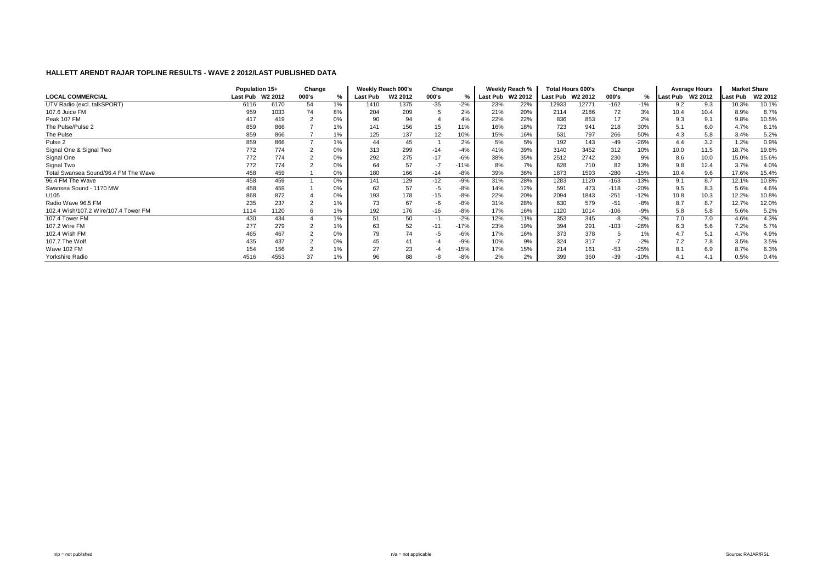|                                      | Population 15+   |      | Change |       |          | Weekly Reach 000's  | Change |        |                  | Weekly Reach % |                  | <b>Total Hours 000's</b> | Change |        |                  | <b>Average Hours</b> | <b>Market Share</b> |         |
|--------------------------------------|------------------|------|--------|-------|----------|---------------------|--------|--------|------------------|----------------|------------------|--------------------------|--------|--------|------------------|----------------------|---------------------|---------|
| <b>LOCAL COMMERCIAL</b>              | Last Pub W2 2012 |      | 000's  | %     | Last Pub | W <sub>2</sub> 2012 | 000's  |        | Last Pub W2 2012 |                | Last Pub W2 2012 |                          | 000's  | %      | Last Pub W2 2012 |                      | Last Pub            | W2 2012 |
| UTV Radio (excl. talkSPORT)          | 6116             | 6170 | 54     | 1%    | 1410     | 1375                | $-35$  | $-2%$  | 23%              | 22%            | 12933            | 12771                    | $-162$ | $-1%$  | 9.2              | 9.3                  | 10.3%               | 10.1%   |
| 107.6 Juice FM                       | 959              | 1033 | 74     | 8%    | 204      | 209                 |        | 2%     | 21%              | 20%            | 2114             | 2186                     | 72     | 3%     | 10.4             | 10.4                 | 8.9%                | 8.7%    |
| Peak 107 FM                          | 417              | 419  |        | 0%    | 90       | 94                  |        | 4%     | 22%              | 22%            | 836              | 853                      | 17     | 2%     | 9.3              | 9.1                  | 9.8%                | 10.5%   |
| The Pulse/Pulse 2                    | 859              | 866  |        | 1%    | 141      | 156                 | 15     | 11%    | 16%              | 18%            | 723              | 941                      | 218    | 30%    | 5.1              | 6.0                  | 4.7%                | 6.1%    |
| The Pulse                            | 859              | 866  |        | 1%    | 125      | 137                 | 12     | 10%    | 15%              | 16%            | 531              | 797                      | 266    | 50%    | 4.3              | 5.8                  | 3.4%                | 5.2%    |
| Pulse 2                              | 859              | 866  |        | 1%    | 44       | 45                  |        | 2%     | 5%               | 5%             | 192              | 143                      | -49    | $-26%$ | 4.4              | 3.2                  | 1.2%                | 0.9%    |
| Signal One & Signal Two              | 772              | 774  |        | 0%    | 313      | 299                 | $-14$  | $-4%$  | 41%              | 39%            | 3140             | 3452                     | 312    | 10%    | 10.0             | 11.5                 | 18.7%               | 19.6%   |
| Signal One                           | 772              | 774  |        | 0%    | 292      | 275                 | $-17$  | $-6%$  | 38%              | 35%            | 2512             | 2742                     | 230    | 9%     | 8.6              | 10.0                 | 15.0%               | 15.6%   |
| Signal Two                           | 772              | 774  |        | 0%    | 64       | 57                  | $-7$   | $-11%$ | 8%               | 7%             | 628              | 710                      | 82     | 13%    | 9.8              | 12.4                 | 3.7%                | 4.0%    |
| Total Swansea Sound/96.4 FM The Wave | 458              | 459  |        | 0%    | 180      | 166                 | $-14$  | $-8%$  | 39%              | 36%            | 1873             | 1593                     | $-280$ | $-15%$ | 10.4             | 9.6                  | 17.6%               | 15.4%   |
| 96.4 FM The Wave                     | 458              | 459  |        | 0%    | 141      | 129                 | $-12$  | $-9%$  | 31%              | 28%            | 1283             | 1120                     | $-163$ | $-13%$ | 9.1              | 8.7                  | 12.1%               | 10.8%   |
| Swansea Sound - 1170 MW              | 458              | 459  |        | 0%    | 62       | 57                  | -5     | $-8%$  | 14%              | 12%            | 591              | 473                      | $-118$ | $-20%$ | 9.5              | 8.3                  | 5.6%                | 4.6%    |
| U105                                 | 868              | 872  |        | 0%    | 193      | 178                 | $-15$  | $-8%$  | 22%              | 20%            | 2094             | 1843                     | $-251$ | $-12%$ | 10.8             | 10.3                 | 12.2%               | 10.8%   |
| Radio Wave 96.5 FM                   | 235              | 237  |        | 1%    | 73       | 67                  | -6     | $-8%$  | 31%              | 28%            | 630              | 579                      | $-51$  | $-8%$  | 8.7              | 8.7                  | 12.7%               | 12.0%   |
| 102.4 Wish/107.2 Wire/107.4 Tower FM | 1114             | 1120 |        | $1\%$ | 192      | 176                 | $-16$  | $-8%$  | 17%              | 16%            | 1120             | 1014                     | $-106$ | $-9%$  | 5.8              | 5.8                  | 5.6%                | 5.2%    |
| 107.4 Tower FM                       | 430              | 434  |        | 1%    | 51       | 50                  | $-1$   | $-2%$  | 12%              | 11%            | 353              | 345                      | -8     | $-2%$  | 7.0              | 7.0                  | 4.6%                | 4.3%    |
| 107.2 Wire FM                        | 277              | 279  |        | 1%    | 63       | 52                  | $-11$  | $-17%$ | 23%              | 19%            | 394              | 291                      | $-103$ | $-26%$ | 6.3              | 5.6                  | 7.2%                | 5.7%    |
| 102.4 Wish FM                        | 465              | 467  |        | 0%    | 79       | 74                  | -5     | $-6%$  | 17%              | 16%            | 373              | 378                      |        | 1%     | 4.7              | 5.1                  | 4.7%                | 4.9%    |
| 107.7 The Wolf                       | 435              | 437  |        | 0%    | 45       |                     |        | $-9%$  | 10%              | 9%             | 324              | 317                      | $-7$   | $-2%$  | 7.2              | 7.8                  | 3.5%                | 3.5%    |
| Wave 102 FM                          | 154              | 156  |        | 1%    | 27       | 23                  |        | $-15%$ | 17%              | 15%            | 214              | 161                      | $-53$  | $-25%$ | 8.1              | 6.9                  | 8.7%                | 6.3%    |
| Yorkshire Radio                      | 4516             | 4553 | 37     | 1%    | 96       | 88                  | -8     | $-8%$  | 2%               | 2%             | 399              | 360                      | $-39$  | $-10%$ | 4.1              | 4.1                  | 0.5%                | 0.4%    |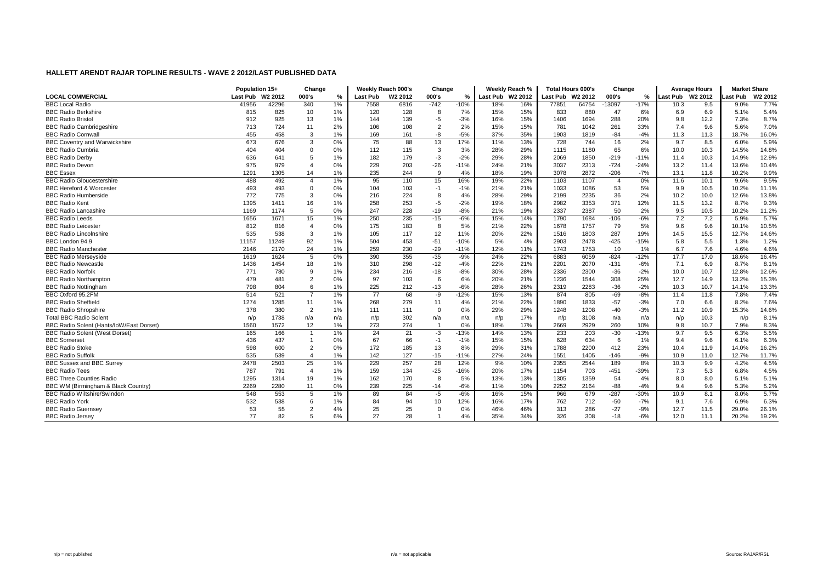|                                          | Population 15+   |       | Change                |       |                 | Weekly Reach 000's  | Change         |        |                  | Weekly Reach % | <b>Total Hours 000's</b> |       | Change         |        |                  | <b>Average Hours</b> | <b>Market Share</b> |         |
|------------------------------------------|------------------|-------|-----------------------|-------|-----------------|---------------------|----------------|--------|------------------|----------------|--------------------------|-------|----------------|--------|------------------|----------------------|---------------------|---------|
| <b>LOCAL COMMERCIAL</b>                  | Last Pub W2 2012 |       | 000's                 | %     | Last Pub        | W <sub>2</sub> 2012 | 000's          | %      | Last Pub W2 2012 |                | Last Pub W2 2012         |       | 000's          | %      | Last Pub W2 2012 |                      | .ast Pub            | W2 2012 |
| <b>BBC Local Radio</b>                   | 41956            | 42296 | 340                   | 1%    | 7558            | 6816                | $-742$         | $-10%$ | 18%              | 16%            | 77851                    | 64754 | $-13097$       | $-17%$ | 10.3             | 9.5                  | 9.0%                | 7.7%    |
| <b>BBC Radio Berkshire</b>               | 815              | 825   | 10                    | 1%    | 120             | 128                 | 8              | 7%     | 15%              | 15%            | 833                      | 880   | 47             | 6%     | 6.9              | 6.9                  | 5.1%                | 5.4%    |
| <b>BBC Radio Bristol</b>                 | 912              | 925   | 13                    | 1%    | 144             | 139                 | $-5$           | $-3%$  | 16%              | 15%            | 1406                     | 1694  | 288            | 20%    | 9.8              | 12.2                 | 7.3%                | 8.7%    |
| <b>BBC Radio Cambridgeshire</b>          | 713              | 724   | 11                    | 2%    | 106             | 108                 | $\overline{2}$ | 2%     | 15%              | 15%            | 781                      | 1042  | 261            | 33%    | 7.4              | 9.6                  | 5.6%                | 7.0%    |
| <b>BBC Radio Cornwall</b>                | 455              | 458   | 3                     | 1%    | 169             | 161                 | -8             | $-5%$  | 37%              | 35%            | 1903                     | 1819  | -84            | $-4%$  | 11.3             | 11.3                 | 18.7%               | 16.0%   |
| <b>BBC Coventry and Warwickshire</b>     | 673              | 676   | 3                     | 0%    | 75              | 88                  | 13             | 17%    | 11%              | 13%            | 728                      | 744   | 16             | 2%     | 9.7              | 8.5                  | 6.0%                | 5.9%    |
| <b>BBC Radio Cumbria</b>                 | 404              | 404   | $\Omega$              | 0%    | 112             | 115                 | 3              | 3%     | 28%              | 29%            | 1115                     | 1180  | 65             | 6%     | 10.0             | 10.3                 | 14.5%               | 14.8%   |
| <b>BBC Radio Derby</b>                   | 636              | 641   |                       | 1%    | 182             | 179                 | $-3$           | $-2%$  | 29%              | 28%            | 2069                     | 1850  | $-219$         | $-11%$ | 11.4             | 10.3                 | 14.9%               | 12.9%   |
| <b>BBC Radio Devon</b>                   | 975              | 979   |                       | 0%    | 229             | 203                 | $-26$          | $-11%$ | 24%              | 21%            | 3037                     | 2313  | $-724$         | $-24%$ | 13.2             | 11.4                 | 13.6%               | 10.4%   |
| <b>BBC Essex</b>                         | 1291             | 1305  | 14                    | 1%    | 235             | 244                 | 9              | 4%     | 18%              | 19%            | 3078                     | 2872  | $-206$         | $-7%$  | 13.1             | 11.8                 | 10.2%               | 9.9%    |
| <b>BBC Radio Gloucestershire</b>         | 488              | 492   | $\boldsymbol{\Delta}$ | 1%    | 95              | 110                 | 15             | 16%    | 19%              | 22%            | 1103                     | 1107  | $\overline{4}$ | 0%     | 11.6             | 10.1                 | 9.6%                | 9.5%    |
| <b>BBC Hereford &amp; Worcester</b>      | 493              | 493   | $\mathbf{0}$          | 0%    | 104             | 103                 | $-1$           | $-1%$  | 21%              | 21%            | 1033                     | 1086  | 53             | 5%     | 9.9              | 10.5                 | 10.2%               | 11.1%   |
| <b>BBC Radio Humberside</b>              | 772              | 775   | 3                     | 0%    | 216             | 224                 | 8              | 4%     | 28%              | 29%            | 2199                     | 2235  | 36             | 2%     | 10.2             | 10.0                 | 12.6%               | 13.8%   |
| <b>BBC Radio Kent</b>                    | 1395             | 1411  | 16                    | 1%    | 258             | 253                 | $-5$           | $-2%$  | 19%              | 18%            | 2982                     | 3353  | 371            | 12%    | 11.5             | 13.2                 | 8.7%                | 9.3%    |
| <b>BBC Radio Lancashire</b>              | 1169             | 1174  | 5                     | 0%    | 247             | 228                 | $-19$          | $-8%$  | 21%              | 19%            | 2337                     | 2387  | 50             | 2%     | 9.5              | 10.5                 | 10.2%               | 11.2%   |
| <b>BBC Radio Leeds</b>                   | 1656             | 1671  | 15                    | 1%    | 250             | 235                 | $-15$          | $-6%$  | 15%              | 14%            | 1790                     | 1684  | $-106$         | $-6%$  | 7.2              | 7.2                  | 5.9%                | 5.7%    |
| <b>BBC Radio Leicester</b>               | 812              | 816   | $\overline{4}$        | 0%    | 175             | 183                 | 8              | 5%     | 21%              | 22%            | 1678                     | 1757  | 79             | 5%     | 9.6              | 9.6                  | 10.1%               | 10.5%   |
| <b>BBC Radio Lincolnshire</b>            | 535              | 538   | 3                     | $1\%$ | 105             | 117                 | 12             | 11%    | 20%              | 22%            | 1516                     | 1803  | 287            | 19%    | 14.5             | 15.5                 | 12.7%               | 14.6%   |
| BBC London 94.9                          | 11157            | 11249 | 92                    | 1%    | 504             | 453                 | $-51$          | $-10%$ | 5%               | 4%             | 2903                     | 2478  | $-425$         | $-15%$ | 5.8              | 5.5                  | 1.3%                | 1.2%    |
| <b>BBC Radio Manchester</b>              | 2146             | 2170  | 24                    | 1%    | 259             | 230                 | $-29$          | $-11%$ | 12%              | 11%            | 1743                     | 1753  | 10             | 1%     | 6.7              | 7.6                  | 4.6%                | 4.6%    |
| <b>BBC Radio Merseyside</b>              | 1619             | 1624  | 5                     | 0%    | 390             | 355                 | $-35$          | $-9%$  | 24%              | 22%            | 6883                     | 6059  | $-824$         | $-12%$ | 17.7             | 17.0                 | 18.6%               | 16.4%   |
| <b>BBC Radio Newcastle</b>               | 1436             | 1454  | 18                    | 1%    | 310             | 298                 | $-12$          | $-4%$  | 22%              | 21%            | 2201                     | 2070  | $-131$         | $-6%$  | 7.1              | 6.9                  | 8.7%                | 8.1%    |
| <b>BBC Radio Norfolk</b>                 | 771              | 780   | 9                     | $1\%$ | 234             | 216                 | $-18$          | $-8%$  | 30%              | 28%            | 2336                     | 2300  | $-36$          | $-2%$  | 10.0             | 10.7                 | 12.8%               | 12.6%   |
| <b>BBC Radio Northampton</b>             | 479              | 481   | $\overline{2}$        | 0%    | 97              | 103                 | 6              | 6%     | 20%              | 21%            | 1236                     | 1544  | 308            | 25%    | 12.7             | 14.9                 | 13.2%               | 15.3%   |
| <b>BBC Radio Nottingham</b>              | 798              | 804   | 6                     | 1%    | 225             | 212                 | $-13$          | $-6%$  | 28%              | 26%            | 2319                     | 2283  | $-36$          | $-2%$  | 10.3             | 10.7                 | 14.1%               | 13.3%   |
| BBC Oxford 95.2FM                        | 514              | 521   | $\overline{7}$        | 1%    | $\overline{77}$ | 68                  | $-9$           | $-12%$ | 15%              | 13%            | 874                      | 805   | $-69$          | $-8%$  | 11.4             | 11.8                 | 7.8%                | 7.4%    |
| <b>BBC Radio Sheffield</b>               | 1274             | 1285  | 11                    | 1%    | 268             | 279                 | 11             | 4%     | 21%              | 22%            | 1890                     | 1833  | $-57$          | $-3%$  | 7.0              | 6.6                  | 8.2%                | 7.6%    |
| <b>BBC Radio Shropshire</b>              | 378              | 380   | $\overline{2}$        | 1%    | 111             | 111                 | $\Omega$       | 0%     | 29%              | 29%            | 1248                     | 1208  | $-40$          | $-3%$  | 11.2             | 10.9                 | 15.3%               | 14.6%   |
| <b>Total BBC Radio Solent</b>            | n/p              | 1738  | n/a                   | n/a   | n/p             | 302                 | n/a            | n/a    | n/p              | 17%            | n/p                      | 3108  | n/a            | n/a    | n/p              | 10.3                 | n/p                 | 8.1%    |
| BBC Radio Solent (Hants/loW/East Dorset) | 1560             | 1572  | 12                    | 1%    | 273             | 274                 |                | 0%     | 18%              | 17%            | 2669                     | 2929  | 260            | 10%    | 9.8              | 10.7                 | 7.9%                | 8.3%    |
| <b>BBC Radio Solent (West Dorset)</b>    | 165              | 166   | -1                    | 1%    | 24              | 21                  | $-3$           | $-13%$ | 14%              | 13%            | 233                      | 203   | $-30$          | $-13%$ | 9.7              | 9.5                  | 6.3%                | 5.5%    |
| <b>BBC</b> Somerset                      | 436              | 437   |                       | 0%    | 67              | 66                  | $-1$           | $-1%$  | 15%              | 15%            | 628                      | 634   | 6              | 1%     | 9.4              | 9.6                  | 6.1%                | 6.3%    |
| <b>BBC Radio Stoke</b>                   | 598              | 600   | $\overline{2}$        | 0%    | 172             | 185                 | 13             | 8%     | 29%              | 31%            | 1788                     | 2200  | 412            | 23%    | 10.4             | 11.9                 | 14.0%               | 16.2%   |
| <b>BBC Radio Suffolk</b>                 | 535              | 539   | $\overline{4}$        | 1%    | 142             | 127                 | $-15$          | $-11%$ | 27%              | 24%            | 1551                     | 1405  | $-146$         | $-9%$  | 10.9             | 11.0                 | 12.7%               | 11.7%   |
| <b>BBC Sussex and BBC Surrey</b>         | 2478             | 2503  | 25                    | 1%    | 229             | 257                 | 28             | 12%    | 9%               | 10%            | 2355                     | 2544  | 189            | 8%     | 10.3             | 9.9                  | 4.2%                | 4.5%    |
| <b>BBC Radio Tees</b>                    | 787              | 791   | $\overline{4}$        | $1\%$ | 159             | 134                 | $-25$          | $-16%$ | 20%              | 17%            | 1154                     | 703   | $-451$         | $-39%$ | 7.3              | 5.3                  | 6.8%                | 4.5%    |
| <b>BBC Three Counties Radio</b>          | 1295             | 1314  | 19                    | 1%    | 162             | 170                 | 8              | 5%     | 13%              | 13%            | 1305                     | 1359  | 54             | 4%     | 8.0              | 8.0                  | 5.1%                | 5.1%    |
| BBC WM (Birmingham & Black Country)      | 2269             | 2280  | 11                    | 0%    | 239             | 225                 | $-14$          | $-6%$  | 11%              | 10%            | 2252                     | 2164  | $-88$          | $-4%$  | 9.4              | 9.6                  | 5.3%                | 5.2%    |
| <b>BBC Radio Wiltshire/Swindon</b>       | 548              | 553   | 5                     | 1%    | 89              | 84                  | $-5$           | $-6%$  | 16%              | 15%            | 966                      | 679   | $-287$         | $-30%$ | 10.9             | 8.1                  | 8.0%                | 5.7%    |
| <b>BBC Radio York</b>                    | 532              | 538   | 6                     | 1%    | 84              | 94                  | 10             | 12%    | 16%              | 17%            | 762                      | 712   | $-50$          | $-7%$  | 9.1              | 7.6                  | 6.9%                | 6.3%    |
| <b>BBC Radio Guernsey</b>                | 53               | 55    | $\overline{c}$        | 4%    | 25              | 25                  | $\Omega$       | 0%     | 46%              | 46%            | 313                      | 286   | $-27$          | $-9%$  | 12.7             | 11.5                 | 29.0%               | 26.1%   |
| <b>BBC Radio Jersey</b>                  | 77               | 82    | 5                     | 6%    | 27              | 28                  |                | 4%     | 35%              | 34%            | 326                      | 308   | $-18$          | $-6%$  | 12.0             | 11.1                 | 20.2%               | 19.2%   |